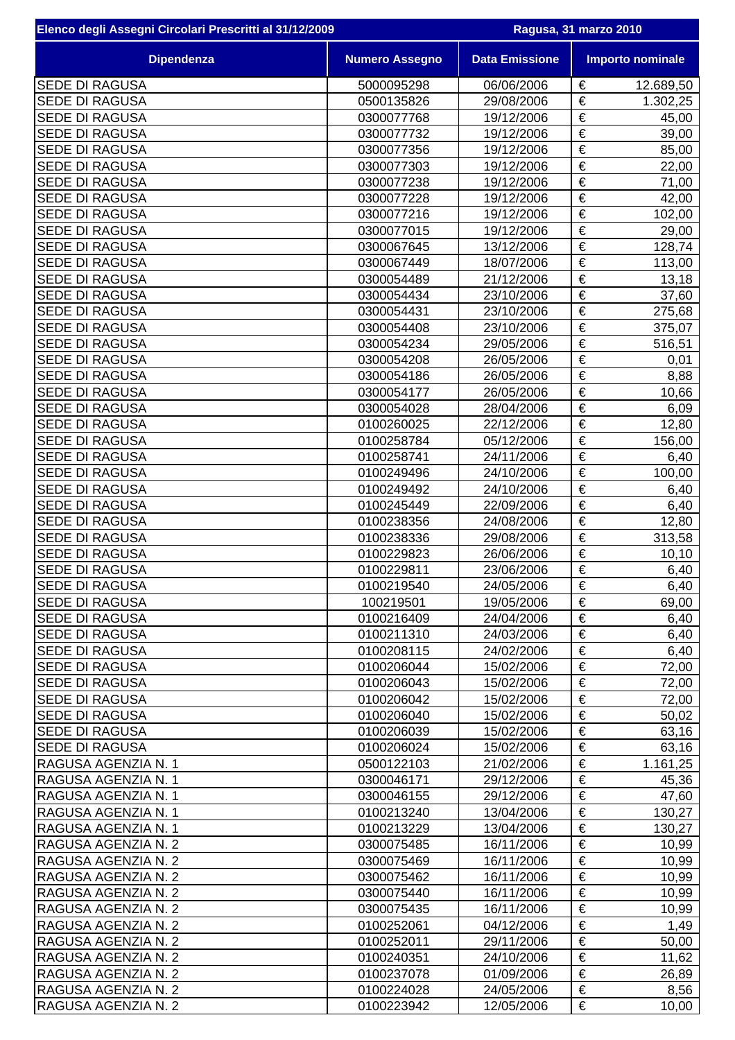| Elenco degli Assegni Circolari Prescritti al 31/12/2009 |                          | Ragusa, 31 marzo 2010 |                       |                         |
|---------------------------------------------------------|--------------------------|-----------------------|-----------------------|-------------------------|
| <b>Dipendenza</b>                                       | <b>Numero Assegno</b>    | <b>Data Emissione</b> |                       | <b>Importo nominale</b> |
| <b>SEDE DI RAGUSA</b>                                   | 5000095298               | 06/06/2006            | €                     | 12.689,50               |
| <b>SEDE DI RAGUSA</b>                                   | 0500135826               | 29/08/2006            | €                     | 1.302,25                |
| <b>SEDE DI RAGUSA</b>                                   | 0300077768               | 19/12/2006            | €                     | 45,00                   |
| <b>SEDE DI RAGUSA</b>                                   | 0300077732               | 19/12/2006            | €                     | 39,00                   |
| <b>SEDE DI RAGUSA</b>                                   | 0300077356               | 19/12/2006            | $\overline{\epsilon}$ | 85,00                   |
| <b>SEDE DI RAGUSA</b>                                   | 0300077303               | 19/12/2006            | €                     | 22,00                   |
| <b>SEDE DI RAGUSA</b>                                   | 0300077238               | 19/12/2006            | €                     | 71,00                   |
| <b>SEDE DI RAGUSA</b>                                   | 0300077228               | 19/12/2006            | €                     | 42,00                   |
| <b>SEDE DI RAGUSA</b>                                   | 0300077216               | 19/12/2006            | $\overline{\epsilon}$ | 102,00                  |
| <b>SEDE DI RAGUSA</b>                                   | 0300077015               | 19/12/2006            | $\overline{\epsilon}$ | 29,00                   |
| <b>SEDE DI RAGUSA</b>                                   | 0300067645               | 13/12/2006            | €                     | 128,74                  |
| <b>SEDE DI RAGUSA</b>                                   | 0300067449               | 18/07/2006            | €                     | 113,00                  |
| <b>SEDE DI RAGUSA</b>                                   | 0300054489               | 21/12/2006            | €                     | 13,18                   |
| <b>SEDE DI RAGUSA</b>                                   | 0300054434               | 23/10/2006            | €                     | 37,60                   |
| <b>SEDE DI RAGUSA</b>                                   | 0300054431               | 23/10/2006            | $\overline{\epsilon}$ | 275,68                  |
| <b>SEDE DI RAGUSA</b>                                   | 0300054408               | 23/10/2006            | $\overline{\epsilon}$ | 375,07                  |
| <b>SEDE DI RAGUSA</b>                                   | 0300054234               | 29/05/2006            | €                     | 516,51                  |
| <b>SEDE DI RAGUSA</b>                                   | 0300054208               | 26/05/2006            | $\overline{\epsilon}$ | 0,01                    |
| <b>SEDE DI RAGUSA</b>                                   | 0300054186               | 26/05/2006            | €                     | 8,88                    |
| <b>SEDE DI RAGUSA</b>                                   | 0300054177               | 26/05/2006            | €                     | 10,66                   |
| <b>SEDE DI RAGUSA</b>                                   | 0300054028               | 28/04/2006            | €                     | 6,09                    |
| <b>SEDE DI RAGUSA</b>                                   | 0100260025               | 22/12/2006            | €                     | 12,80                   |
| <b>SEDE DI RAGUSA</b>                                   | 0100258784               | 05/12/2006            | €                     | 156,00                  |
| <b>SEDE DI RAGUSA</b>                                   | 0100258741               | 24/11/2006            | €                     | 6,40                    |
| <b>SEDE DI RAGUSA</b>                                   | 0100249496               | 24/10/2006            | €                     | 100,00                  |
| <b>SEDE DI RAGUSA</b>                                   | 0100249492               | 24/10/2006            | $\overline{\epsilon}$ | 6,40                    |
| <b>SEDE DI RAGUSA</b>                                   | 0100245449               | 22/09/2006            | $\overline{\epsilon}$ | 6,40                    |
| <b>SEDE DI RAGUSA</b>                                   | 0100238356               | 24/08/2006            | €                     | 12,80                   |
| <b>SEDE DI RAGUSA</b>                                   | 0100238336               | 29/08/2006            | €                     | 313,58                  |
| <b>SEDE DI RAGUSA</b>                                   | 0100229823               | 26/06/2006            | €                     | 10, 10                  |
| <b>SEDE DI RAGUSA</b>                                   | 0100229811               | 23/06/2006            | €                     | 6,40                    |
| <b>SEDE DI RAGUSA</b>                                   | 0100219540               | 24/05/2006            | €                     | 6,40                    |
| <b>SEDE DI RAGUSA</b>                                   | 100219501                | 19/05/2006            | €                     | 69,00                   |
| <b>SEDE DI RAGUSA</b>                                   | 0100216409               | 24/04/2006            | €                     | 6,40                    |
| <b>SEDE DI RAGUSA</b>                                   | 0100211310               | 24/03/2006            | €                     | 6,40                    |
| <b>SEDE DI RAGUSA</b>                                   | 0100208115               | 24/02/2006            | €                     | 6,40                    |
| <b>SEDE DI RAGUSA</b>                                   | 0100206044               | 15/02/2006            | €                     | 72,00                   |
| <b>SEDE DI RAGUSA</b>                                   | 0100206043               | 15/02/2006            | €                     | 72,00                   |
| <b>SEDE DI RAGUSA</b>                                   | 0100206042               | 15/02/2006            | €                     | 72,00                   |
| <b>SEDE DI RAGUSA</b>                                   | 0100206040               | 15/02/2006            | €                     | 50,02                   |
| <b>SEDE DI RAGUSA</b>                                   | 0100206039               | 15/02/2006            | €                     | 63,16                   |
| <b>SEDE DI RAGUSA</b>                                   | 0100206024               | 15/02/2006            | €                     | 63,16                   |
| RAGUSA AGENZIA N. 1                                     | 0500122103               | 21/02/2006            | $\overline{\epsilon}$ | 1.161,25                |
| RAGUSA AGENZIA N. 1                                     | 0300046171               | 29/12/2006            | €                     | 45,36                   |
| RAGUSA AGENZIA N. 1                                     | 0300046155               | 29/12/2006            | €                     | 47,60                   |
| RAGUSA AGENZIA N. 1                                     | 0100213240               | 13/04/2006            | €                     | 130,27                  |
| RAGUSA AGENZIA N. 1                                     | 0100213229               | 13/04/2006            | €<br>€                | 130,27                  |
| RAGUSA AGENZIA N. 2                                     | 0300075485               | 16/11/2006            |                       | 10,99                   |
| RAGUSA AGENZIA N. 2                                     | 0300075469               | 16/11/2006            | €                     | 10,99                   |
| RAGUSA AGENZIA N. 2                                     | 0300075462               | 16/11/2006            | €<br>€                | 10,99                   |
| RAGUSA AGENZIA N. 2                                     | 0300075440               | 16/11/2006            | €                     | 10,99                   |
| RAGUSA AGENZIA N. 2                                     | 0300075435               | 16/11/2006            | €                     | 10,99                   |
| RAGUSA AGENZIA N. 2                                     | 0100252061               | 04/12/2006            | €                     | 1,49                    |
| RAGUSA AGENZIA N. 2                                     | 0100252011               | 29/11/2006            |                       | 50,00                   |
| RAGUSA AGENZIA N. 2                                     | 0100240351               | 24/10/2006            | €<br>€                | 11,62                   |
| RAGUSA AGENZIA N. 2                                     | 0100237078               | 01/09/2006            |                       | 26,89                   |
| RAGUSA AGENZIA N. 2                                     | 0100224028<br>0100223942 | 24/05/2006            | €<br>€                | 8,56                    |
| RAGUSA AGENZIA N. 2                                     |                          | 12/05/2006            |                       | 10,00                   |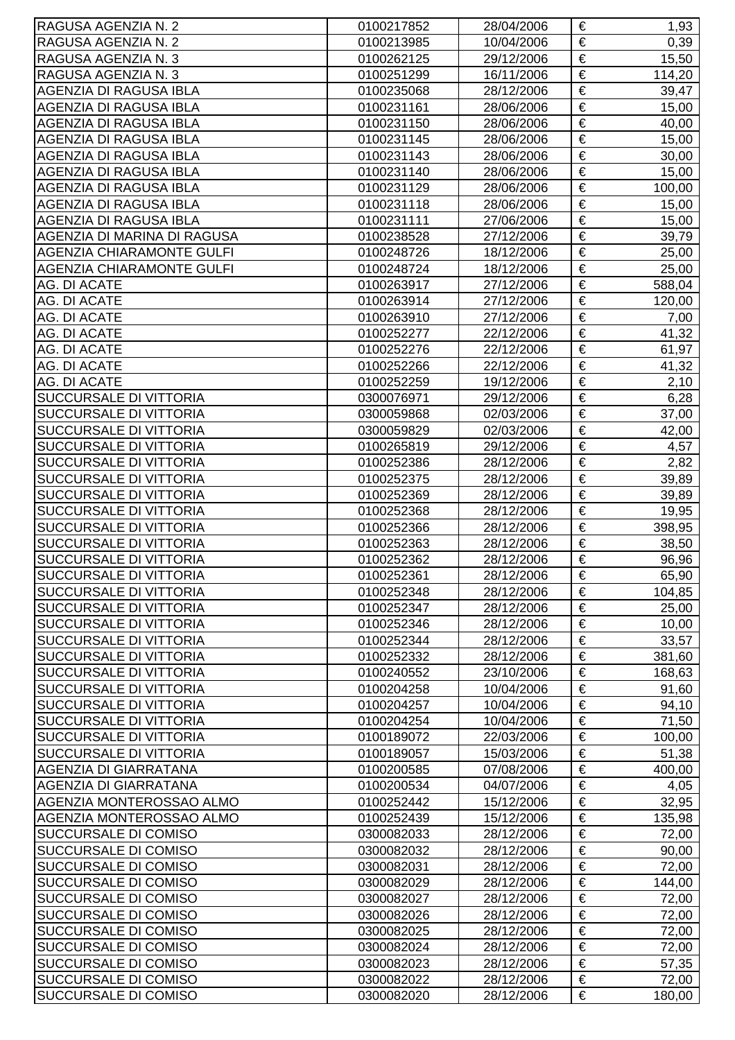| RAGUSA AGENZIA N. 2              | 0100217852 | 28/04/2006 | €                     | 1,93   |
|----------------------------------|------------|------------|-----------------------|--------|
| RAGUSA AGENZIA N. 2              | 0100213985 | 10/04/2006 | €                     | 0,39   |
| RAGUSA AGENZIA N. 3              | 0100262125 | 29/12/2006 | €                     | 15,50  |
| RAGUSA AGENZIA N. 3              | 0100251299 | 16/11/2006 | €                     | 114,20 |
| AGENZIA DI RAGUSA IBLA           | 0100235068 | 28/12/2006 | €                     | 39,47  |
| <b>AGENZIA DI RAGUSA IBLA</b>    | 0100231161 | 28/06/2006 | €                     | 15,00  |
| AGENZIA DI RAGUSA IBLA           | 0100231150 | 28/06/2006 | €                     | 40,00  |
| <b>AGENZIA DI RAGUSA IBLA</b>    | 0100231145 | 28/06/2006 | €                     | 15,00  |
| <b>AGENZIA DI RAGUSA IBLA</b>    | 0100231143 | 28/06/2006 | €                     | 30,00  |
| <b>AGENZIA DI RAGUSA IBLA</b>    | 0100231140 | 28/06/2006 | €                     | 15,00  |
| <b>AGENZIA DI RAGUSA IBLA</b>    | 0100231129 | 28/06/2006 | €                     | 100,00 |
| AGENZIA DI RAGUSA IBLA           | 0100231118 | 28/06/2006 | €                     | 15,00  |
| AGENZIA DI RAGUSA IBLA           | 0100231111 | 27/06/2006 | €                     | 15,00  |
| AGENZIA DI MARINA DI RAGUSA      | 0100238528 | 27/12/2006 | €                     | 39,79  |
| <b>AGENZIA CHIARAMONTE GULFI</b> | 0100248726 | 18/12/2006 | €                     | 25,00  |
| <b>AGENZIA CHIARAMONTE GULFI</b> | 0100248724 | 18/12/2006 | $\overline{\epsilon}$ | 25,00  |
| AG. DI ACATE                     | 0100263917 | 27/12/2006 | €                     | 588,04 |
| AG. DI ACATE                     | 0100263914 | 27/12/2006 | $\overline{\epsilon}$ | 120,00 |
| <b>AG. DI ACATE</b>              | 0100263910 | 27/12/2006 | €                     | 7,00   |
| AG. DI ACATE                     | 0100252277 | 22/12/2006 | €                     | 41,32  |
| AG. DI ACATE                     | 0100252276 | 22/12/2006 | €                     | 61,97  |
| AG. DI ACATE                     | 0100252266 | 22/12/2006 | €                     | 41,32  |
| AG. DI ACATE                     | 0100252259 | 19/12/2006 | €                     | 2,10   |
| <b>SUCCURSALE DI VITTORIA</b>    | 0300076971 | 29/12/2006 | €                     | 6,28   |
| <b>SUCCURSALE DI VITTORIA</b>    | 0300059868 | 02/03/2006 | €                     | 37,00  |
| <b>SUCCURSALE DI VITTORIA</b>    | 0300059829 | 02/03/2006 | €                     | 42,00  |
| <b>SUCCURSALE DI VITTORIA</b>    | 0100265819 | 29/12/2006 | €                     | 4,57   |
| <b>SUCCURSALE DI VITTORIA</b>    | 0100252386 | 28/12/2006 | €                     | 2,82   |
| <b>SUCCURSALE DI VITTORIA</b>    | 0100252375 | 28/12/2006 | €                     | 39,89  |
| <b>SUCCURSALE DI VITTORIA</b>    | 0100252369 | 28/12/2006 | €                     | 39,89  |
| <b>SUCCURSALE DI VITTORIA</b>    | 0100252368 | 28/12/2006 | €                     | 19,95  |
| <b>SUCCURSALE DI VITTORIA</b>    | 0100252366 | 28/12/2006 | €                     | 398,95 |
| <b>SUCCURSALE DI VITTORIA</b>    | 0100252363 | 28/12/2006 | €                     | 38,50  |
| <b>SUCCURSALE DI VITTORIA</b>    | 0100252362 | 28/12/2006 | €                     | 96,96  |
| <b>SUCCURSALE DI VITTORIA</b>    | 0100252361 | 28/12/2006 | €                     | 65,90  |
| <b>SUCCURSALE DI VITTORIA</b>    | 0100252348 | 28/12/2006 | €                     | 104,85 |
| <b>SUCCURSALE DI VITTORIA</b>    | 0100252347 | 28/12/2006 | €                     | 25,00  |
| <b>SUCCURSALE DI VITTORIA</b>    | 0100252346 | 28/12/2006 | €                     | 10,00  |
| <b>SUCCURSALE DI VITTORIA</b>    | 0100252344 | 28/12/2006 | €                     | 33,57  |
| <b>SUCCURSALE DI VITTORIA</b>    | 0100252332 | 28/12/2006 | €                     | 381,60 |
| <b>SUCCURSALE DI VITTORIA</b>    | 0100240552 | 23/10/2006 | €                     | 168,63 |
| <b>SUCCURSALE DI VITTORIA</b>    | 0100204258 | 10/04/2006 | €                     | 91,60  |
| <b>SUCCURSALE DI VITTORIA</b>    | 0100204257 | 10/04/2006 | $\overline{\epsilon}$ | 94,10  |
| <b>SUCCURSALE DI VITTORIA</b>    | 0100204254 | 10/04/2006 | €                     | 71,50  |
| <b>SUCCURSALE DI VITTORIA</b>    | 0100189072 | 22/03/2006 | €                     | 100,00 |
| <b>SUCCURSALE DI VITTORIA</b>    | 0100189057 | 15/03/2006 | €                     | 51,38  |
| <b>AGENZIA DI GIARRATANA</b>     | 0100200585 | 07/08/2006 | €                     | 400,00 |
| <b>AGENZIA DI GIARRATANA</b>     | 0100200534 | 04/07/2006 | €                     | 4,05   |
| AGENZIA MONTEROSSAO ALMO         | 0100252442 | 15/12/2006 | €                     | 32,95  |
| AGENZIA MONTEROSSAO ALMO         | 0100252439 | 15/12/2006 | €                     | 135,98 |
| <b>SUCCURSALE DI COMISO</b>      | 0300082033 | 28/12/2006 | €                     | 72,00  |
| <b>SUCCURSALE DI COMISO</b>      | 0300082032 | 28/12/2006 | €                     | 90,00  |
| <b>SUCCURSALE DI COMISO</b>      | 0300082031 | 28/12/2006 | €                     | 72,00  |
| <b>SUCCURSALE DI COMISO</b>      | 0300082029 | 28/12/2006 | $\overline{\epsilon}$ | 144,00 |
| <b>SUCCURSALE DI COMISO</b>      | 0300082027 | 28/12/2006 | €                     | 72,00  |
| <b>SUCCURSALE DI COMISO</b>      | 0300082026 | 28/12/2006 | €                     | 72,00  |
| <b>SUCCURSALE DI COMISO</b>      | 0300082025 | 28/12/2006 | €                     | 72,00  |
| <b>SUCCURSALE DI COMISO</b>      | 0300082024 | 28/12/2006 | €                     | 72,00  |
| <b>SUCCURSALE DI COMISO</b>      | 0300082023 | 28/12/2006 | €                     | 57,35  |
| <b>SUCCURSALE DI COMISO</b>      | 0300082022 | 28/12/2006 | €                     | 72,00  |
| <b>SUCCURSALE DI COMISO</b>      | 0300082020 | 28/12/2006 | €                     | 180,00 |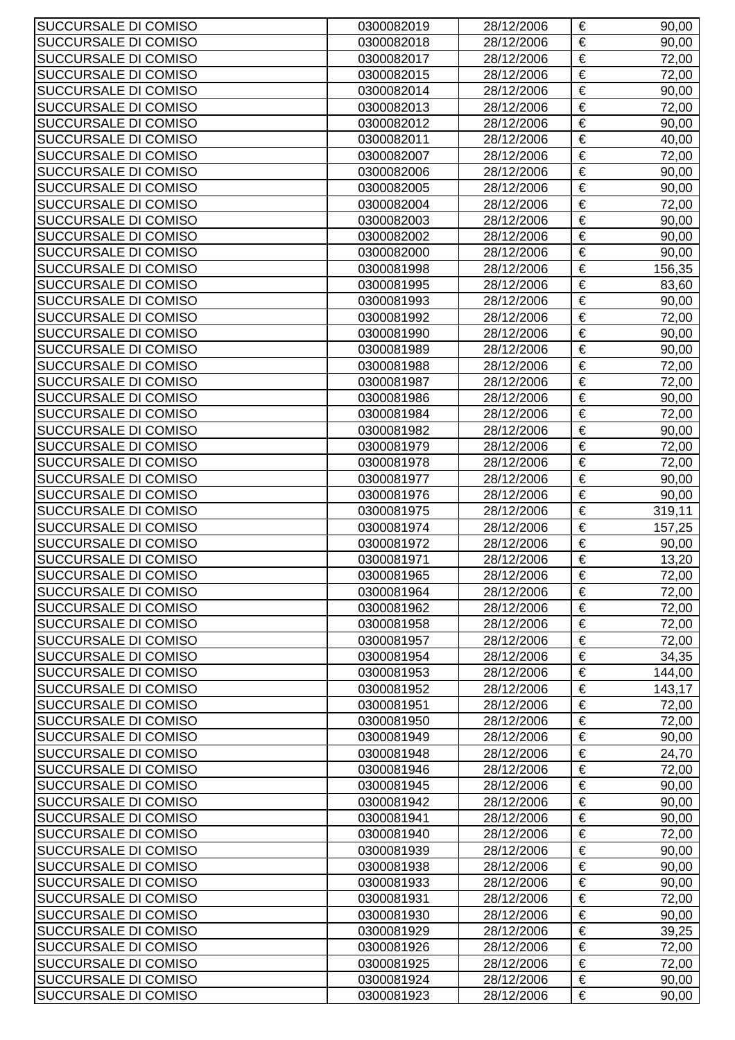| SUCCURSALE DI COMISO                         | 0300082019               | 28/12/2006               | €                     | 90,00           |
|----------------------------------------------|--------------------------|--------------------------|-----------------------|-----------------|
| SUCCURSALE DI COMISO                         | 0300082018               | 28/12/2006               | €                     | 90,00           |
| SUCCURSALE DI COMISO                         | 0300082017               | 28/12/2006               | €                     | 72,00           |
| SUCCURSALE DI COMISO                         | 0300082015               | 28/12/2006               | €                     | 72,00           |
| SUCCURSALE DI COMISO                         | 0300082014               | 28/12/2006               | €                     | 90,00           |
| SUCCURSALE DI COMISO                         | 0300082013               | 28/12/2006               | €                     | 72,00           |
| SUCCURSALE DI COMISO                         | 0300082012               | 28/12/2006               | €                     | 90,00           |
| SUCCURSALE DI COMISO                         | 0300082011               | 28/12/2006               | €                     | 40,00           |
| SUCCURSALE DI COMISO                         | 0300082007               | 28/12/2006               | €                     | 72,00           |
| SUCCURSALE DI COMISO                         | 0300082006               | 28/12/2006               | €                     | 90,00           |
| SUCCURSALE DI COMISO                         | 0300082005               | 28/12/2006               | €                     | 90,00           |
| SUCCURSALE DI COMISO                         | 0300082004               | 28/12/2006               | €                     | 72,00           |
| SUCCURSALE DI COMISO                         | 0300082003               | 28/12/2006               | €                     | 90,00           |
| SUCCURSALE DI COMISO                         | 0300082002               | 28/12/2006               | €                     | 90,00           |
| SUCCURSALE DI COMISO                         | 0300082000               | 28/12/2006               | €                     | 90,00           |
| SUCCURSALE DI COMISO                         | 0300081998               | 28/12/2006               | $\overline{\epsilon}$ | 156,35          |
| SUCCURSALE DI COMISO                         | 0300081995               | 28/12/2006               | €                     | 83,60           |
| SUCCURSALE DI COMISO                         | 0300081993               | 28/12/2006               | €                     | 90,00           |
| SUCCURSALE DI COMISO                         | 0300081992               | 28/12/2006               | €                     | 72,00           |
| SUCCURSALE DI COMISO                         | 0300081990               | 28/12/2006               | €                     | 90,00           |
| SUCCURSALE DI COMISO                         | 0300081989               | 28/12/2006               | €                     | 90,00           |
| SUCCURSALE DI COMISO                         | 0300081988               | 28/12/2006               | €                     | 72,00           |
| SUCCURSALE DI COMISO                         | 0300081987               | 28/12/2006               | €                     | 72,00           |
| SUCCURSALE DI COMISO                         | 0300081986               | 28/12/2006               | €                     | 90,00           |
| SUCCURSALE DI COMISO                         | 0300081984               | 28/12/2006               | €                     | 72,00           |
| SUCCURSALE DI COMISO                         | 0300081982               | 28/12/2006               | €                     | 90,00           |
| SUCCURSALE DI COMISO                         | 0300081979               | 28/12/2006               | $\overline{\epsilon}$ | 72,00           |
| SUCCURSALE DI COMISO                         | 0300081978               | 28/12/2006               | €                     | 72,00           |
| SUCCURSALE DI COMISO                         | 0300081977               | 28/12/2006               | €                     | 90,00           |
| SUCCURSALE DI COMISO                         | 0300081976               | 28/12/2006               | €                     | 90,00           |
| SUCCURSALE DI COMISO                         | 0300081975               | 28/12/2006               | €<br>€                | 319,11          |
| SUCCURSALE DI COMISO<br>SUCCURSALE DI COMISO | 0300081974<br>0300081972 | 28/12/2006<br>28/12/2006 | €                     | 157,25<br>90,00 |
| SUCCURSALE DI COMISO                         | 0300081971               | 28/12/2006               | €                     | 13,20           |
| SUCCURSALE DI COMISO                         | 0300081965               | 28/12/2006               | €                     | 72,00           |
| SUCCURSALE DI COMISO                         | 0300081964               | 28/12/2006               | €                     | 72,00           |
| SUCCURSALE DI COMISO                         | 0300081962               | 28/12/2006               | €                     | 72,00           |
| SUCCURSALE DI COMISO                         | 0300081958               | 28/12/2006               | €                     | 72,00           |
| SUCCURSALE DI COMISO                         | 0300081957               | 28/12/2006               | €                     | 72,00           |
| SUCCURSALE DI COMISO                         | 0300081954               | 28/12/2006               | €                     | 34,35           |
| SUCCURSALE DI COMISO                         | 0300081953               | 28/12/2006               | €                     | 144,00          |
| SUCCURSALE DI COMISO                         | 0300081952               | 28/12/2006               | €                     | 143,17          |
| SUCCURSALE DI COMISO                         | 0300081951               | 28/12/2006               | $\overline{\epsilon}$ | 72,00           |
| SUCCURSALE DI COMISO                         | 0300081950               | 28/12/2006               | €                     | 72,00           |
| SUCCURSALE DI COMISO                         | 0300081949               | 28/12/2006               | €                     | 90,00           |
| SUCCURSALE DI COMISO                         | 0300081948               | 28/12/2006               | €                     | 24,70           |
| SUCCURSALE DI COMISO                         | 0300081946               | 28/12/2006               | €                     | 72,00           |
| SUCCURSALE DI COMISO                         | 0300081945               | 28/12/2006               | €                     | 90,00           |
| SUCCURSALE DI COMISO                         | 0300081942               | 28/12/2006               | €                     | 90,00           |
| SUCCURSALE DI COMISO                         | 0300081941               | 28/12/2006               | €                     | 90,00           |
| SUCCURSALE DI COMISO                         | 0300081940               | 28/12/2006               | €                     | 72,00           |
| SUCCURSALE DI COMISO                         | 0300081939               | 28/12/2006               | €                     | 90,00           |
| SUCCURSALE DI COMISO                         | 0300081938               | 28/12/2006               | €                     | 90,00           |
| SUCCURSALE DI COMISO                         | 0300081933               | 28/12/2006               | $\overline{\epsilon}$ | 90,00           |
| SUCCURSALE DI COMISO                         | 0300081931               | 28/12/2006               | €                     | 72,00           |
| SUCCURSALE DI COMISO                         | 0300081930               | 28/12/2006               | €<br>€                | 90,00           |
| SUCCURSALE DI COMISO<br>SUCCURSALE DI COMISO | 0300081929<br>0300081926 | 28/12/2006<br>28/12/2006 | €                     | 39,25<br>72,00  |
| SUCCURSALE DI COMISO                         | 0300081925               | 28/12/2006               | €                     | 72,00           |
| SUCCURSALE DI COMISO                         | 0300081924               | 28/12/2006               | €                     | 90,00           |
| SUCCURSALE DI COMISO                         | 0300081923               | 28/12/2006               | $\in$                 | 90,00           |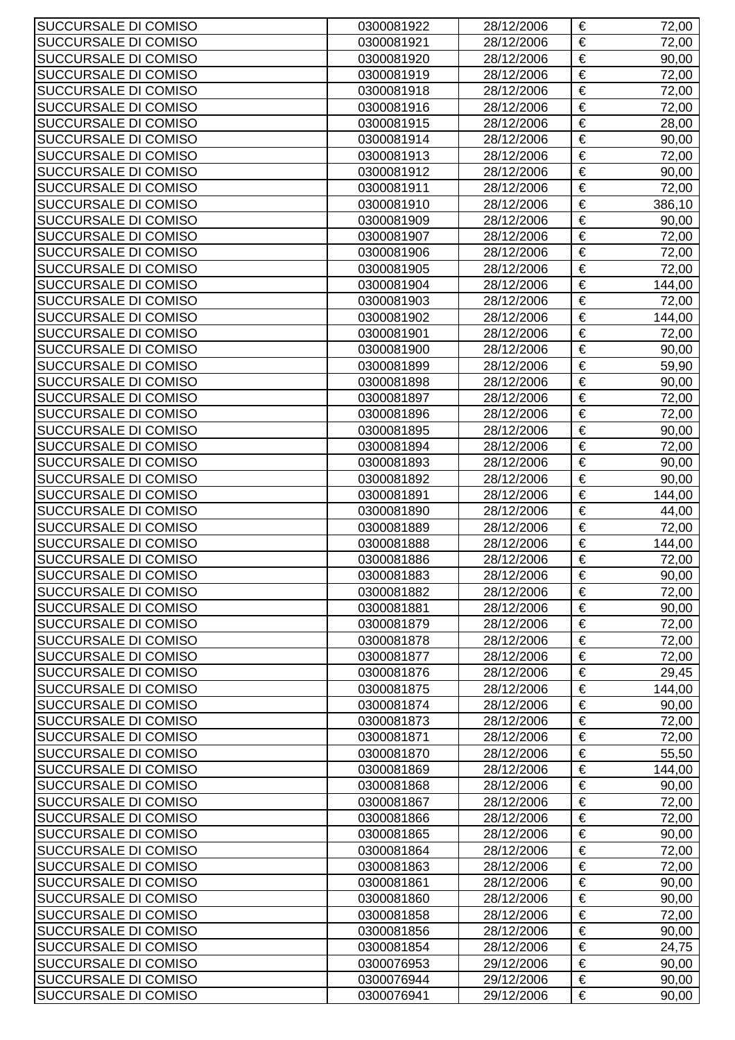| SUCCURSALE DI COMISO                         | 0300081922               | 28/12/2006               | €                     | 72,00           |
|----------------------------------------------|--------------------------|--------------------------|-----------------------|-----------------|
| SUCCURSALE DI COMISO                         | 0300081921               | 28/12/2006               | €                     | 72,00           |
| SUCCURSALE DI COMISO                         | 0300081920               | 28/12/2006               | €                     | 90,00           |
| SUCCURSALE DI COMISO                         | 0300081919               | 28/12/2006               | €                     | 72,00           |
| SUCCURSALE DI COMISO                         | 0300081918               | 28/12/2006               | €                     | 72,00           |
| SUCCURSALE DI COMISO                         | 0300081916               | 28/12/2006               | €                     | 72,00           |
| SUCCURSALE DI COMISO                         | 0300081915               | 28/12/2006               | €                     | 28,00           |
| SUCCURSALE DI COMISO                         | 0300081914               | 28/12/2006               | €                     | 90,00           |
| SUCCURSALE DI COMISO                         | 0300081913               | 28/12/2006               | €                     | 72,00           |
| SUCCURSALE DI COMISO                         | 0300081912               | 28/12/2006               | €                     | 90,00           |
| SUCCURSALE DI COMISO                         | 0300081911               | 28/12/2006               | €                     | 72,00           |
| SUCCURSALE DI COMISO                         | 0300081910               | 28/12/2006               | €                     | 386,10          |
| SUCCURSALE DI COMISO                         | 0300081909               | 28/12/2006               | €                     | 90,00           |
| SUCCURSALE DI COMISO                         | 0300081907               | 28/12/2006               | €                     | 72,00           |
| SUCCURSALE DI COMISO                         | 0300081906               | 28/12/2006               | €                     | 72,00           |
| SUCCURSALE DI COMISO                         | 0300081905               | 28/12/2006               | $\overline{\epsilon}$ | 72,00           |
| SUCCURSALE DI COMISO                         | 0300081904               | 28/12/2006               | €                     | 144,00          |
| SUCCURSALE DI COMISO                         | 0300081903               | 28/12/2006               | €                     | 72,00           |
| SUCCURSALE DI COMISO                         | 0300081902               | 28/12/2006               | €                     | 144,00          |
| SUCCURSALE DI COMISO                         | 0300081901               | 28/12/2006               | €                     | 72,00           |
| SUCCURSALE DI COMISO                         | 0300081900               | 28/12/2006               | €                     | 90,00           |
| SUCCURSALE DI COMISO                         | 0300081899               | 28/12/2006               | €                     | 59,90           |
| SUCCURSALE DI COMISO                         | 0300081898               | 28/12/2006               | €                     | 90,00           |
| SUCCURSALE DI COMISO                         | 0300081897               | 28/12/2006               | €                     | 72,00           |
| SUCCURSALE DI COMISO                         | 0300081896               | 28/12/2006               | €                     | 72,00           |
| SUCCURSALE DI COMISO                         | 0300081895               | 28/12/2006               | €                     | 90,00           |
| SUCCURSALE DI COMISO                         | 0300081894               | 28/12/2006               | €                     | 72,00           |
| SUCCURSALE DI COMISO                         | 0300081893               | 28/12/2006               | €                     | 90,00           |
| SUCCURSALE DI COMISO                         | 0300081892               | 28/12/2006               | €                     | 90,00           |
| SUCCURSALE DI COMISO                         | 0300081891               | 28/12/2006               | €                     | 144,00          |
| SUCCURSALE DI COMISO                         | 0300081890               | 28/12/2006               | €<br>€                | 44,00           |
| SUCCURSALE DI COMISO<br>SUCCURSALE DI COMISO | 0300081889<br>0300081888 | 28/12/2006<br>28/12/2006 | €                     | 72,00<br>144,00 |
| SUCCURSALE DI COMISO                         | 0300081886               | 28/12/2006               | €                     | 72,00           |
| SUCCURSALE DI COMISO                         | 0300081883               | 28/12/2006               | €                     | 90,00           |
| SUCCURSALE DI COMISO                         | 0300081882               | 28/12/2006               | €                     | 72,00           |
| SUCCURSALE DI COMISO                         | 0300081881               | 28/12/2006               | €                     | 90,00           |
| SUCCURSALE DI COMISO                         | 0300081879               | 28/12/2006               | €                     | 72,00           |
| SUCCURSALE DI COMISO                         | 0300081878               | 28/12/2006               | €                     | 72,00           |
| SUCCURSALE DI COMISO                         | 0300081877               | 28/12/2006               | €                     | 72,00           |
| SUCCURSALE DI COMISO                         | 0300081876               | 28/12/2006               | €                     | 29,45           |
| SUCCURSALE DI COMISO                         | 0300081875               | 28/12/2006               | €                     | 144,00          |
| SUCCURSALE DI COMISO                         | 0300081874               | 28/12/2006               | $\overline{\epsilon}$ | 90,00           |
| SUCCURSALE DI COMISO                         | 0300081873               | 28/12/2006               | €                     | 72,00           |
| SUCCURSALE DI COMISO                         | 0300081871               | 28/12/2006               | €                     | 72,00           |
| SUCCURSALE DI COMISO                         | 0300081870               | 28/12/2006               | €                     | 55,50           |
| SUCCURSALE DI COMISO                         | 0300081869               | 28/12/2006               | €                     | 144,00          |
| SUCCURSALE DI COMISO                         | 0300081868               | 28/12/2006               | €                     | 90,00           |
| SUCCURSALE DI COMISO                         | 0300081867               | 28/12/2006               | €                     | 72,00           |
| SUCCURSALE DI COMISO                         | 0300081866               | 28/12/2006               | €                     | 72,00           |
| SUCCURSALE DI COMISO                         | 0300081865               | 28/12/2006               | €                     | 90,00           |
| SUCCURSALE DI COMISO                         | 0300081864               | 28/12/2006               | €                     | 72,00           |
| SUCCURSALE DI COMISO                         | 0300081863               | 28/12/2006               | €                     | 72,00           |
| SUCCURSALE DI COMISO                         | 0300081861               | 28/12/2006               | $\overline{\epsilon}$ | 90,00           |
| SUCCURSALE DI COMISO                         | 0300081860               | 28/12/2006               | €                     | 90,00           |
| SUCCURSALE DI COMISO                         | 0300081858               | 28/12/2006               | €                     | 72,00           |
| SUCCURSALE DI COMISO                         | 0300081856               | 28/12/2006               | €                     | 90,00           |
| SUCCURSALE DI COMISO                         | 0300081854               | 28/12/2006               | €                     | 24,75           |
| SUCCURSALE DI COMISO                         | 0300076953               | 29/12/2006               | €<br>€                | 90,00           |
| SUCCURSALE DI COMISO<br>SUCCURSALE DI COMISO | 0300076944<br>0300076941 | 29/12/2006<br>29/12/2006 | €                     | 90,00<br>90,00  |
|                                              |                          |                          |                       |                 |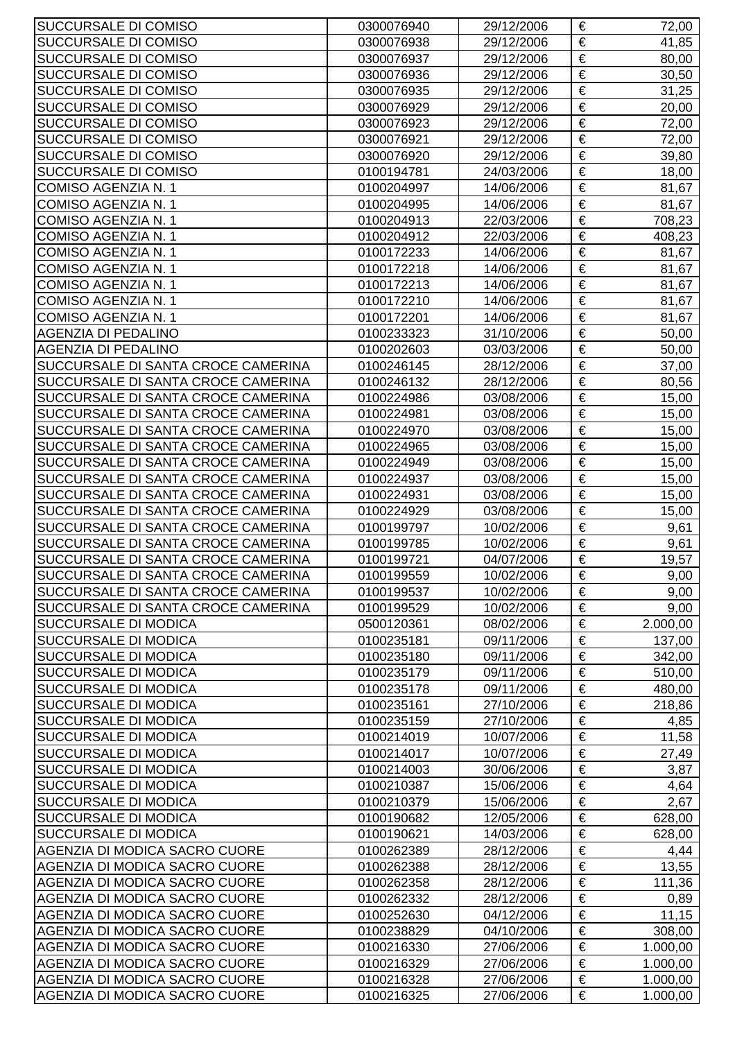| SUCCURSALE DI COMISO               | 0300076940 | 29/12/2006 | €                     | 72,00    |
|------------------------------------|------------|------------|-----------------------|----------|
| SUCCURSALE DI COMISO               | 0300076938 | 29/12/2006 | €                     | 41,85    |
| SUCCURSALE DI COMISO               | 0300076937 | 29/12/2006 | €                     | 80,00    |
| SUCCURSALE DI COMISO               | 0300076936 | 29/12/2006 | €                     | 30,50    |
| SUCCURSALE DI COMISO               | 0300076935 | 29/12/2006 | $\overline{\epsilon}$ | 31,25    |
| SUCCURSALE DI COMISO               | 0300076929 | 29/12/2006 | €                     | 20,00    |
| SUCCURSALE DI COMISO               | 0300076923 | 29/12/2006 | $\overline{\epsilon}$ | 72,00    |
| SUCCURSALE DI COMISO               | 0300076921 | 29/12/2006 | €                     | 72,00    |
| SUCCURSALE DI COMISO               | 0300076920 | 29/12/2006 | €                     | 39,80    |
| SUCCURSALE DI COMISO               | 0100194781 | 24/03/2006 | €                     | 18,00    |
| COMISO AGENZIA N. 1                | 0100204997 | 14/06/2006 | €                     | 81,67    |
| COMISO AGENZIA N. 1                | 0100204995 | 14/06/2006 | €                     | 81,67    |
| <b>COMISO AGENZIA N. 1</b>         | 0100204913 | 22/03/2006 | €                     | 708,23   |
| COMISO AGENZIA N. 1                | 0100204912 | 22/03/2006 | €                     | 408,23   |
| COMISO AGENZIA N. 1                | 0100172233 | 14/06/2006 | €                     | 81,67    |
| COMISO AGENZIA N. 1                | 0100172218 | 14/06/2006 | $\overline{\epsilon}$ | 81,67    |
| COMISO AGENZIA N. 1                | 0100172213 | 14/06/2006 | €                     | 81,67    |
| COMISO AGENZIA N. 1                | 0100172210 | 14/06/2006 | $\overline{\epsilon}$ | 81,67    |
| COMISO AGENZIA N. 1                | 0100172201 | 14/06/2006 | €                     | 81,67    |
| <b>AGENZIA DI PEDALINO</b>         | 0100233323 | 31/10/2006 | €                     | 50,00    |
| <b>AGENZIA DI PEDALINO</b>         | 0100202603 | 03/03/2006 | €                     | 50,00    |
| SUCCURSALE DI SANTA CROCE CAMERINA | 0100246145 | 28/12/2006 | €                     | 37,00    |
| SUCCURSALE DI SANTA CROCE CAMERINA | 0100246132 | 28/12/2006 | €                     | 80,56    |
| SUCCURSALE DI SANTA CROCE CAMERINA | 0100224986 | 03/08/2006 | €                     | 15,00    |
| SUCCURSALE DI SANTA CROCE CAMERINA | 0100224981 | 03/08/2006 | €                     | 15,00    |
| SUCCURSALE DI SANTA CROCE CAMERINA | 0100224970 | 03/08/2006 | €                     | 15,00    |
| SUCCURSALE DI SANTA CROCE CAMERINA | 0100224965 | 03/08/2006 | $\overline{\epsilon}$ | 15,00    |
| SUCCURSALE DI SANTA CROCE CAMERINA | 0100224949 | 03/08/2006 | €                     | 15,00    |
| SUCCURSALE DI SANTA CROCE CAMERINA | 0100224937 | 03/08/2006 | €                     | 15,00    |
| SUCCURSALE DI SANTA CROCE CAMERINA | 0100224931 | 03/08/2006 | €                     | 15,00    |
| SUCCURSALE DI SANTA CROCE CAMERINA | 0100224929 | 03/08/2006 | €                     | 15,00    |
| SUCCURSALE DI SANTA CROCE CAMERINA | 0100199797 | 10/02/2006 | €                     | 9,61     |
| SUCCURSALE DI SANTA CROCE CAMERINA | 0100199785 | 10/02/2006 | €                     | 9,61     |
| SUCCURSALE DI SANTA CROCE CAMERINA | 0100199721 | 04/07/2006 | €                     | 19,57    |
| SUCCURSALE DI SANTA CROCE CAMERINA | 0100199559 | 10/02/2006 | €                     | 9,00     |
| SUCCURSALE DI SANTA CROCE CAMERINA | 0100199537 | 10/02/2006 | €                     | 9,00     |
| SUCCURSALE DI SANTA CROCE CAMERINA | 0100199529 | 10/02/2006 | €                     | 9,00     |
| SUCCURSALE DI MODICA               | 0500120361 | 08/02/2006 | €                     | 2.000,00 |
| SUCCURSALE DI MODICA               | 0100235181 | 09/11/2006 | €                     | 137,00   |
| SUCCURSALE DI MODICA               | 0100235180 | 09/11/2006 | €                     | 342,00   |
| SUCCURSALE DI MODICA               | 0100235179 | 09/11/2006 | €                     | 510,00   |
| SUCCURSALE DI MODICA               | 0100235178 | 09/11/2006 | €                     | 480,00   |
| SUCCURSALE DI MODICA               | 0100235161 | 27/10/2006 | $\overline{\epsilon}$ | 218,86   |
| SUCCURSALE DI MODICA               | 0100235159 | 27/10/2006 | €                     | 4,85     |
| SUCCURSALE DI MODICA               | 0100214019 | 10/07/2006 | €                     | 11,58    |
| SUCCURSALE DI MODICA               | 0100214017 | 10/07/2006 | €                     | 27,49    |
| SUCCURSALE DI MODICA               | 0100214003 | 30/06/2006 | €                     | 3,87     |
| SUCCURSALE DI MODICA               | 0100210387 | 15/06/2006 | €                     | 4,64     |
| SUCCURSALE DI MODICA               | 0100210379 | 15/06/2006 | €                     | 2,67     |
| SUCCURSALE DI MODICA               | 0100190682 | 12/05/2006 | €                     | 628,00   |
| SUCCURSALE DI MODICA               | 0100190621 | 14/03/2006 | €                     | 628,00   |
| AGENZIA DI MODICA SACRO CUORE      | 0100262389 | 28/12/2006 | €                     | 4,44     |
| AGENZIA DI MODICA SACRO CUORE      | 0100262388 | 28/12/2006 | €                     | 13,55    |
| AGENZIA DI MODICA SACRO CUORE      | 0100262358 | 28/12/2006 | $\overline{\epsilon}$ | 111,36   |
| AGENZIA DI MODICA SACRO CUORE      | 0100262332 | 28/12/2006 | €                     | 0,89     |
| AGENZIA DI MODICA SACRO CUORE      | 0100252630 | 04/12/2006 | €                     | 11,15    |
| AGENZIA DI MODICA SACRO CUORE      | 0100238829 | 04/10/2006 | €                     | 308,00   |
| AGENZIA DI MODICA SACRO CUORE      | 0100216330 | 27/06/2006 | €                     | 1.000,00 |
| AGENZIA DI MODICA SACRO CUORE      | 0100216329 | 27/06/2006 | €                     | 1.000,00 |
| AGENZIA DI MODICA SACRO CUORE      | 0100216328 | 27/06/2006 | €                     | 1.000,00 |
| AGENZIA DI MODICA SACRO CUORE      | 0100216325 | 27/06/2006 | €                     | 1.000,00 |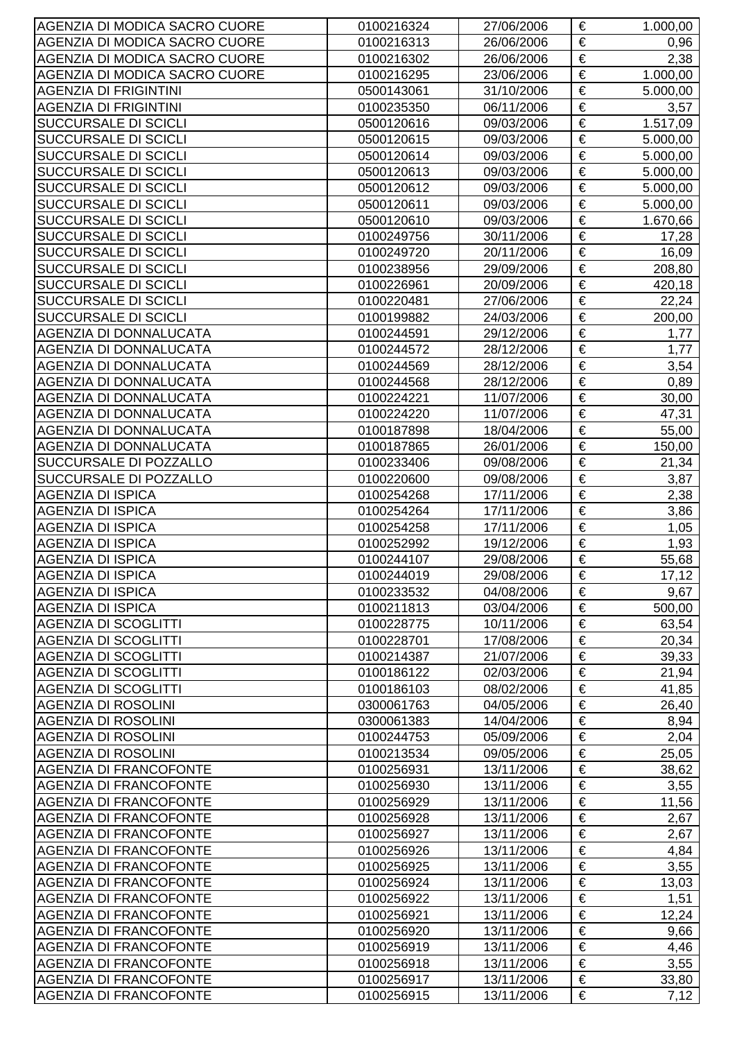| AGENZIA DI MODICA SACRO CUORE | 0100216324               | 27/06/2006 | €                     | 1.000,00     |
|-------------------------------|--------------------------|------------|-----------------------|--------------|
| AGENZIA DI MODICA SACRO CUORE | 0100216313               | 26/06/2006 | €                     | 0,96         |
| AGENZIA DI MODICA SACRO CUORE | 0100216302               | 26/06/2006 | €                     | 2,38         |
| AGENZIA DI MODICA SACRO CUORE | 0100216295               | 23/06/2006 | €                     | 1.000,00     |
| <b>AGENZIA DI FRIGINTINI</b>  | 0500143061               | 31/10/2006 | $\overline{\epsilon}$ | 5.000,00     |
| <b>AGENZIA DI FRIGINTINI</b>  | 0100235350               | 06/11/2006 | €                     | 3,57         |
| SUCCURSALE DI SCICLI          | 0500120616               | 09/03/2006 | €                     | 1.517,09     |
| SUCCURSALE DI SCICLI          | 0500120615               | 09/03/2006 | €                     | 5.000,00     |
| SUCCURSALE DI SCICLI          | 0500120614               | 09/03/2006 | €                     | 5.000,00     |
| SUCCURSALE DI SCICLI          | 0500120613               | 09/03/2006 | €                     | 5.000,00     |
| SUCCURSALE DI SCICLI          | 0500120612               | 09/03/2006 | €                     | 5.000,00     |
| SUCCURSALE DI SCICLI          | 0500120611               | 09/03/2006 | €                     | 5.000,00     |
| SUCCURSALE DI SCICLI          | 0500120610               | 09/03/2006 | €                     | 1.670,66     |
| SUCCURSALE DI SCICLI          | 0100249756               | 30/11/2006 | €                     | 17,28        |
| SUCCURSALE DI SCICLI          | 0100249720               | 20/11/2006 | €                     | 16,09        |
| SUCCURSALE DI SCICLI          | 0100238956               | 29/09/2006 | $\overline{\epsilon}$ | 208,80       |
| SUCCURSALE DI SCICLI          | 0100226961               | 20/09/2006 | €                     | 420,18       |
| SUCCURSALE DI SCICLI          | 0100220481               | 27/06/2006 | €                     | 22,24        |
| <b>SUCCURSALE DI SCICLI</b>   | 0100199882               | 24/03/2006 | €                     | 200,00       |
| <b>AGENZIA DI DONNALUCATA</b> | 0100244591               | 29/12/2006 | €                     | 1,77         |
| <b>AGENZIA DI DONNALUCATA</b> | 0100244572               | 28/12/2006 | €                     | 1,77         |
| <b>AGENZIA DI DONNALUCATA</b> | 0100244569               | 28/12/2006 | €                     | 3,54         |
| <b>AGENZIA DI DONNALUCATA</b> | 0100244568               | 28/12/2006 | €                     | 0,89         |
| AGENZIA DI DONNALUCATA        | 0100224221               | 11/07/2006 | €                     | 30,00        |
| <b>AGENZIA DI DONNALUCATA</b> | 0100224220               | 11/07/2006 | €                     | 47,31        |
| AGENZIA DI DONNALUCATA        | 0100187898               | 18/04/2006 | €                     | 55,00        |
| <b>AGENZIA DI DONNALUCATA</b> | 0100187865               | 26/01/2006 | $\overline{\epsilon}$ | 150,00       |
| SUCCURSALE DI POZZALLO        | 0100233406               | 09/08/2006 | €                     | 21,34        |
| SUCCURSALE DI POZZALLO        | 0100220600               | 09/08/2006 | €                     | 3,87         |
| <b>AGENZIA DI ISPICA</b>      | 0100254268               | 17/11/2006 | €                     | 2,38         |
| <b>AGENZIA DI ISPICA</b>      | 0100254264               | 17/11/2006 | €                     | 3,86         |
| <b>AGENZIA DI ISPICA</b>      | 0100254258               | 17/11/2006 | €                     | 1,05         |
| <b>AGENZIA DI ISPICA</b>      | 0100252992               | 19/12/2006 | $\overline{\epsilon}$ | 1,93         |
| <b>AGENZIA DI ISPICA</b>      | 0100244107               | 29/08/2006 | €                     | 55,68        |
| <b>AGENZIA DI ISPICA</b>      | 0100244019               | 29/08/2006 | €                     | 17,12        |
| <b>AGENZIA DI ISPICA</b>      | 0100233532               | 04/08/2006 | €                     | 9,67         |
| <b>AGENZIA DI ISPICA</b>      | 0100211813               | 03/04/2006 | €                     | 500,00       |
| <b>AGENZIA DI SCOGLITTI</b>   | 0100228775               | 10/11/2006 | €                     | 63,54        |
| <b>AGENZIA DI SCOGLITTI</b>   | 0100228701               | 17/08/2006 | €                     | 20,34        |
| <b>AGENZIA DI SCOGLITTI</b>   | 0100214387               | 21/07/2006 | €                     | 39,33        |
| <b>AGENZIA DI SCOGLITTI</b>   | 0100186122               | 02/03/2006 | €                     | 21,94        |
| <b>AGENZIA DI SCOGLITTI</b>   | 0100186103               | 08/02/2006 | €                     | 41,85        |
| <b>AGENZIA DI ROSOLINI</b>    | 0300061763               | 04/05/2006 | €                     | 26,40        |
| <b>AGENZIA DI ROSOLINI</b>    | 0300061383               | 14/04/2006 | €                     | 8,94         |
| <b>AGENZIA DI ROSOLINI</b>    | 0100244753               | 05/09/2006 | $\overline{\epsilon}$ | 2,04         |
| <b>AGENZIA DI ROSOLINI</b>    | 0100213534               | 09/05/2006 | €                     | 25,05        |
| <b>AGENZIA DI FRANCOFONTE</b> | 0100256931               | 13/11/2006 | €                     | 38,62        |
| <b>AGENZIA DI FRANCOFONTE</b> | 0100256930               | 13/11/2006 | €                     | 3,55         |
| <b>AGENZIA DI FRANCOFONTE</b> | 0100256929               | 13/11/2006 | €                     | 11,56        |
| <b>AGENZIA DI FRANCOFONTE</b> | 0100256928               | 13/11/2006 | €                     | 2,67         |
| <b>AGENZIA DI FRANCOFONTE</b> |                          | 13/11/2006 | €                     |              |
| <b>AGENZIA DI FRANCOFONTE</b> | 0100256927<br>0100256926 | 13/11/2006 | €                     | 2,67<br>4,84 |
| <b>AGENZIA DI FRANCOFONTE</b> | 0100256925               | 13/11/2006 | €                     |              |
|                               |                          |            | €                     | 3,55         |
| <b>AGENZIA DI FRANCOFONTE</b> | 0100256924               | 13/11/2006 | €                     | 13,03        |
| <b>AGENZIA DI FRANCOFONTE</b> | 0100256922               | 13/11/2006 | €                     | 1,51         |
| <b>AGENZIA DI FRANCOFONTE</b> | 0100256921               | 13/11/2006 | €                     | 12,24        |
| <b>AGENZIA DI FRANCOFONTE</b> | 0100256920               | 13/11/2006 |                       | 9,66         |
| <b>AGENZIA DI FRANCOFONTE</b> | 0100256919               | 13/11/2006 | €                     | 4,46         |
| <b>AGENZIA DI FRANCOFONTE</b> | 0100256918               | 13/11/2006 | €<br>€                | 3,55         |
| <b>AGENZIA DI FRANCOFONTE</b> | 0100256917               | 13/11/2006 |                       | 33,80        |
| <b>AGENZIA DI FRANCOFONTE</b> | 0100256915               | 13/11/2006 | €                     | 7,12         |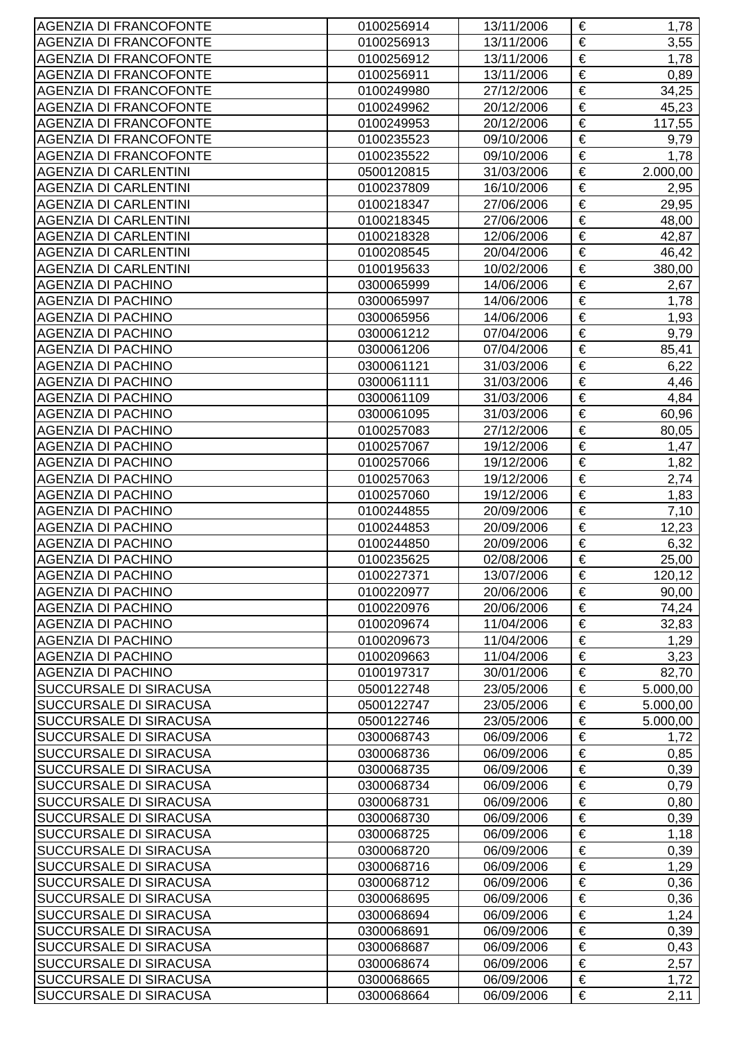| <b>AGENZIA DI FRANCOFONTE</b> | 0100256914 | 13/11/2006 | € | 1,78     |
|-------------------------------|------------|------------|---|----------|
| <b>AGENZIA DI FRANCOFONTE</b> | 0100256913 | 13/11/2006 | € | 3,55     |
| <b>AGENZIA DI FRANCOFONTE</b> | 0100256912 | 13/11/2006 | € | 1,78     |
| <b>AGENZIA DI FRANCOFONTE</b> | 0100256911 | 13/11/2006 | € | 0,89     |
| <b>AGENZIA DI FRANCOFONTE</b> | 0100249980 | 27/12/2006 | € | 34,25    |
| <b>AGENZIA DI FRANCOFONTE</b> | 0100249962 | 20/12/2006 | € | 45,23    |
| <b>AGENZIA DI FRANCOFONTE</b> | 0100249953 | 20/12/2006 | € | 117,55   |
| <b>AGENZIA DI FRANCOFONTE</b> | 0100235523 | 09/10/2006 | € | 9,79     |
| <b>AGENZIA DI FRANCOFONTE</b> | 0100235522 | 09/10/2006 | € | 1,78     |
| <b>AGENZIA DI CARLENTINI</b>  | 0500120815 | 31/03/2006 | € | 2.000,00 |
| <b>AGENZIA DI CARLENTINI</b>  | 0100237809 | 16/10/2006 | € | 2,95     |
| <b>AGENZIA DI CARLENTINI</b>  | 0100218347 | 27/06/2006 | € | 29,95    |
| <b>AGENZIA DI CARLENTINI</b>  | 0100218345 | 27/06/2006 | € | 48,00    |
| <b>AGENZIA DI CARLENTINI</b>  | 0100218328 | 12/06/2006 | € | 42,87    |
| <b>AGENZIA DI CARLENTINI</b>  | 0100208545 | 20/04/2006 | € | 46,42    |
| <b>AGENZIA DI CARLENTINI</b>  | 0100195633 | 10/02/2006 | € | 380,00   |
| <b>AGENZIA DI PACHINO</b>     | 0300065999 | 14/06/2006 | € | 2,67     |
| <b>AGENZIA DI PACHINO</b>     | 0300065997 | 14/06/2006 | € | 1,78     |
| <b>AGENZIA DI PACHINO</b>     | 0300065956 | 14/06/2006 | € | 1,93     |
| <b>AGENZIA DI PACHINO</b>     | 0300061212 | 07/04/2006 | € | 9,79     |
| <b>AGENZIA DI PACHINO</b>     | 0300061206 | 07/04/2006 | € | 85,41    |
| <b>AGENZIA DI PACHINO</b>     | 0300061121 | 31/03/2006 | € | 6,22     |
| <b>AGENZIA DI PACHINO</b>     | 0300061111 | 31/03/2006 | € | 4,46     |
| <b>AGENZIA DI PACHINO</b>     | 0300061109 | 31/03/2006 | € | 4,84     |
| <b>AGENZIA DI PACHINO</b>     | 0300061095 | 31/03/2006 | € | 60,96    |
| <b>AGENZIA DI PACHINO</b>     | 0100257083 | 27/12/2006 | € | 80,05    |
| <b>AGENZIA DI PACHINO</b>     | 0100257067 | 19/12/2006 | € | 1,47     |
| <b>AGENZIA DI PACHINO</b>     | 0100257066 | 19/12/2006 | € | 1,82     |
| <b>AGENZIA DI PACHINO</b>     | 0100257063 | 19/12/2006 | € | 2,74     |
| <b>AGENZIA DI PACHINO</b>     | 0100257060 | 19/12/2006 | € | 1,83     |
| <b>AGENZIA DI PACHINO</b>     | 0100244855 | 20/09/2006 | € | 7,10     |
| <b>AGENZIA DI PACHINO</b>     | 0100244853 | 20/09/2006 | € | 12,23    |
| <b>AGENZIA DI PACHINO</b>     | 0100244850 | 20/09/2006 | € | 6,32     |
| <b>AGENZIA DI PACHINO</b>     | 0100235625 | 02/08/2006 | € | 25,00    |
| <b>AGENZIA DI PACHINO</b>     | 0100227371 | 13/07/2006 | € | 120,12   |
| <b>AGENZIA DI PACHINO</b>     | 0100220977 | 20/06/2006 | € | 90,00    |
| <b>AGENZIA DI PACHINO</b>     | 0100220976 | 20/06/2006 | € | 74,24    |
| <b>AGENZIA DI PACHINO</b>     | 0100209674 | 11/04/2006 | € | 32,83    |
| <b>AGENZIA DI PACHINO</b>     | 0100209673 | 11/04/2006 | € | 1,29     |
| AGENZIA DI PACHINO            | 0100209663 | 11/04/2006 | € | 3,23     |
| <b>AGENZIA DI PACHINO</b>     | 0100197317 | 30/01/2006 | € | 82,70    |
| <b>SUCCURSALE DI SIRACUSA</b> | 0500122748 | 23/05/2006 | € | 5.000,00 |
| <b>SUCCURSALE DI SIRACUSA</b> | 0500122747 | 23/05/2006 | € | 5.000,00 |
| <b>SUCCURSALE DI SIRACUSA</b> | 0500122746 | 23/05/2006 | € | 5.000,00 |
| <b>SUCCURSALE DI SIRACUSA</b> | 0300068743 | 06/09/2006 | € | 1,72     |
| <b>SUCCURSALE DI SIRACUSA</b> | 0300068736 | 06/09/2006 | € | 0,85     |
| <b>SUCCURSALE DI SIRACUSA</b> | 0300068735 | 06/09/2006 | € | 0,39     |
| <b>SUCCURSALE DI SIRACUSA</b> | 0300068734 | 06/09/2006 | € | 0,79     |
| <b>SUCCURSALE DI SIRACUSA</b> | 0300068731 | 06/09/2006 | € | 0,80     |
| <b>SUCCURSALE DI SIRACUSA</b> | 0300068730 | 06/09/2006 | € | 0,39     |
| <b>SUCCURSALE DI SIRACUSA</b> | 0300068725 | 06/09/2006 | € | 1,18     |
| <b>SUCCURSALE DI SIRACUSA</b> | 0300068720 | 06/09/2006 | € | 0,39     |
| <b>SUCCURSALE DI SIRACUSA</b> | 0300068716 | 06/09/2006 | € | 1,29     |
| <b>SUCCURSALE DI SIRACUSA</b> | 0300068712 | 06/09/2006 | € | 0,36     |
| <b>SUCCURSALE DI SIRACUSA</b> | 0300068695 | 06/09/2006 | € | 0,36     |
| <b>SUCCURSALE DI SIRACUSA</b> | 0300068694 | 06/09/2006 | € | 1,24     |
| <b>SUCCURSALE DI SIRACUSA</b> | 0300068691 | 06/09/2006 | € | 0,39     |
| <b>SUCCURSALE DI SIRACUSA</b> | 0300068687 | 06/09/2006 | € | 0,43     |
| <b>SUCCURSALE DI SIRACUSA</b> | 0300068674 | 06/09/2006 | € | 2,57     |
| <b>SUCCURSALE DI SIRACUSA</b> | 0300068665 | 06/09/2006 | € | 1,72     |
| <b>SUCCURSALE DI SIRACUSA</b> | 0300068664 | 06/09/2006 | € | 2,11     |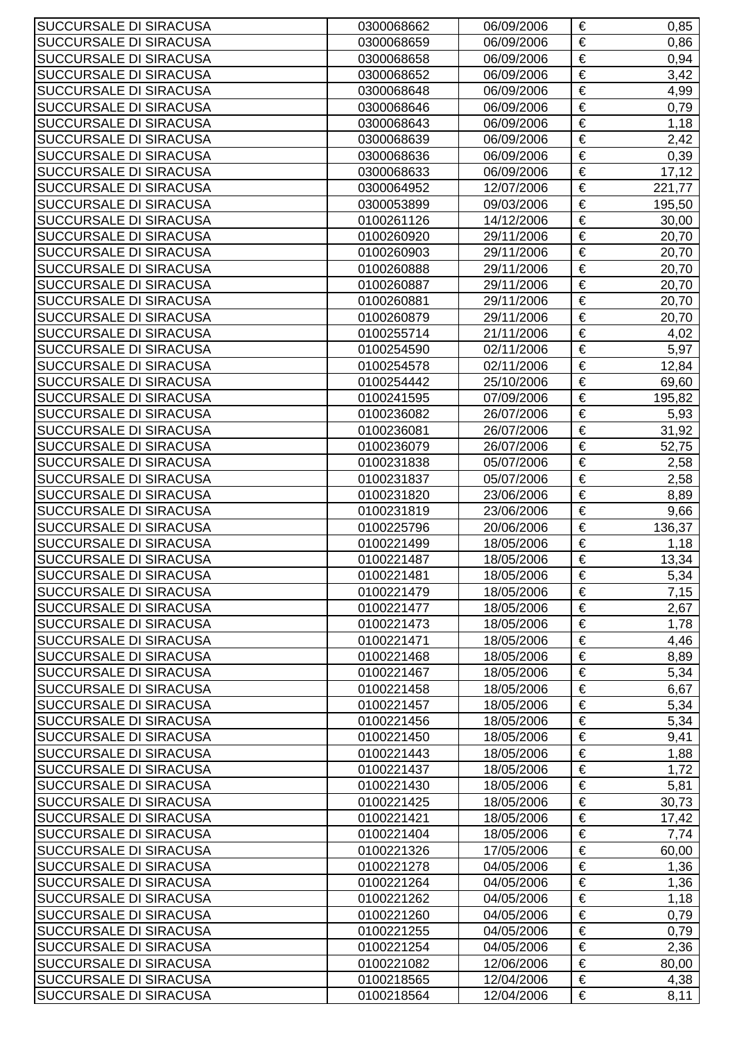| SUCCURSALE DI SIRACUSA        | 0300068662 | 06/09/2006 | €                     | 0,85   |
|-------------------------------|------------|------------|-----------------------|--------|
| SUCCURSALE DI SIRACUSA        | 0300068659 | 06/09/2006 | €                     | 0,86   |
| SUCCURSALE DI SIRACUSA        | 0300068658 | 06/09/2006 | €                     | 0,94   |
| SUCCURSALE DI SIRACUSA        | 0300068652 | 06/09/2006 | €                     | 3,42   |
| SUCCURSALE DI SIRACUSA        | 0300068648 | 06/09/2006 | $\overline{\epsilon}$ | 4,99   |
| SUCCURSALE DI SIRACUSA        | 0300068646 | 06/09/2006 | €                     | 0,79   |
| SUCCURSALE DI SIRACUSA        | 0300068643 | 06/09/2006 | $\overline{\epsilon}$ | 1,18   |
| SUCCURSALE DI SIRACUSA        | 0300068639 | 06/09/2006 | €                     | 2,42   |
| SUCCURSALE DI SIRACUSA        | 0300068636 | 06/09/2006 | €                     | 0,39   |
| SUCCURSALE DI SIRACUSA        | 0300068633 | 06/09/2006 | €                     | 17,12  |
| SUCCURSALE DI SIRACUSA        | 0300064952 | 12/07/2006 | €                     | 221,77 |
| SUCCURSALE DI SIRACUSA        | 0300053899 | 09/03/2006 | €                     | 195,50 |
| SUCCURSALE DI SIRACUSA        | 0100261126 | 14/12/2006 | €                     | 30,00  |
| SUCCURSALE DI SIRACUSA        | 0100260920 | 29/11/2006 | €                     | 20,70  |
| SUCCURSALE DI SIRACUSA        | 0100260903 | 29/11/2006 | €                     | 20,70  |
| SUCCURSALE DI SIRACUSA        | 0100260888 | 29/11/2006 | $\overline{\epsilon}$ | 20,70  |
| SUCCURSALE DI SIRACUSA        | 0100260887 | 29/11/2006 | €                     | 20,70  |
| <b>SUCCURSALE DI SIRACUSA</b> | 0100260881 | 29/11/2006 | $\overline{\epsilon}$ | 20,70  |
| SUCCURSALE DI SIRACUSA        | 0100260879 | 29/11/2006 | €                     | 20,70  |
| SUCCURSALE DI SIRACUSA        | 0100255714 | 21/11/2006 | €                     | 4,02   |
| SUCCURSALE DI SIRACUSA        | 0100254590 | 02/11/2006 | €                     | 5,97   |
| SUCCURSALE DI SIRACUSA        | 0100254578 | 02/11/2006 | €                     | 12,84  |
| SUCCURSALE DI SIRACUSA        | 0100254442 | 25/10/2006 | €                     | 69,60  |
| SUCCURSALE DI SIRACUSA        | 0100241595 | 07/09/2006 | €                     | 195,82 |
| SUCCURSALE DI SIRACUSA        | 0100236082 | 26/07/2006 | €                     | 5,93   |
| SUCCURSALE DI SIRACUSA        | 0100236081 | 26/07/2006 | €                     | 31,92  |
| SUCCURSALE DI SIRACUSA        | 0100236079 | 26/07/2006 | $\overline{\epsilon}$ | 52,75  |
| SUCCURSALE DI SIRACUSA        | 0100231838 | 05/07/2006 | €                     | 2,58   |
| SUCCURSALE DI SIRACUSA        | 0100231837 | 05/07/2006 | €                     | 2,58   |
| SUCCURSALE DI SIRACUSA        | 0100231820 | 23/06/2006 | €                     | 8,89   |
| SUCCURSALE DI SIRACUSA        | 0100231819 | 23/06/2006 | €                     | 9,66   |
| SUCCURSALE DI SIRACUSA        | 0100225796 | 20/06/2006 | €                     | 136,37 |
| SUCCURSALE DI SIRACUSA        | 0100221499 | 18/05/2006 | €                     | 1,18   |
| SUCCURSALE DI SIRACUSA        | 0100221487 | 18/05/2006 | €                     | 13,34  |
| SUCCURSALE DI SIRACUSA        | 0100221481 | 18/05/2006 | €                     | 5,34   |
| SUCCURSALE DI SIRACUSA        | 0100221479 | 18/05/2006 | €                     | 7,15   |
| SUCCURSALE DI SIRACUSA        | 0100221477 | 18/05/2006 | €                     | 2,67   |
| SUCCURSALE DI SIRACUSA        | 0100221473 | 18/05/2006 | €                     | 1,78   |
| SUCCURSALE DI SIRACUSA        | 0100221471 | 18/05/2006 | €                     | 4,46   |
| SUCCURSALE DI SIRACUSA        | 0100221468 | 18/05/2006 | €                     | 8,89   |
| SUCCURSALE DI SIRACUSA        | 0100221467 | 18/05/2006 | €                     | 5,34   |
| SUCCURSALE DI SIRACUSA        | 0100221458 | 18/05/2006 | €                     | 6,67   |
| SUCCURSALE DI SIRACUSA        | 0100221457 | 18/05/2006 | $\overline{\epsilon}$ | 5,34   |
| SUCCURSALE DI SIRACUSA        | 0100221456 | 18/05/2006 | €                     | 5,34   |
| SUCCURSALE DI SIRACUSA        | 0100221450 | 18/05/2006 | €                     | 9,41   |
| SUCCURSALE DI SIRACUSA        | 0100221443 | 18/05/2006 | €                     | 1,88   |
| SUCCURSALE DI SIRACUSA        | 0100221437 | 18/05/2006 | €                     | 1,72   |
| SUCCURSALE DI SIRACUSA        | 0100221430 | 18/05/2006 | €                     | 5,81   |
| SUCCURSALE DI SIRACUSA        | 0100221425 | 18/05/2006 | €                     | 30,73  |
| SUCCURSALE DI SIRACUSA        | 0100221421 | 18/05/2006 | €                     | 17,42  |
| SUCCURSALE DI SIRACUSA        | 0100221404 | 18/05/2006 | €                     | 7,74   |
| SUCCURSALE DI SIRACUSA        | 0100221326 | 17/05/2006 | €                     | 60,00  |
| SUCCURSALE DI SIRACUSA        | 0100221278 | 04/05/2006 | €                     | 1,36   |
| SUCCURSALE DI SIRACUSA        | 0100221264 | 04/05/2006 | $\overline{\epsilon}$ | 1,36   |
| SUCCURSALE DI SIRACUSA        | 0100221262 | 04/05/2006 | €                     | 1,18   |
| SUCCURSALE DI SIRACUSA        | 0100221260 | 04/05/2006 | €                     | 0,79   |
| SUCCURSALE DI SIRACUSA        | 0100221255 | 04/05/2006 | €                     | 0,79   |
| SUCCURSALE DI SIRACUSA        | 0100221254 | 04/05/2006 | €                     | 2,36   |
| SUCCURSALE DI SIRACUSA        | 0100221082 | 12/06/2006 | €                     | 80,00  |
| SUCCURSALE DI SIRACUSA        | 0100218565 | 12/04/2006 | €                     | 4,38   |
| SUCCURSALE DI SIRACUSA        | 0100218564 | 12/04/2006 | €                     | 8,11   |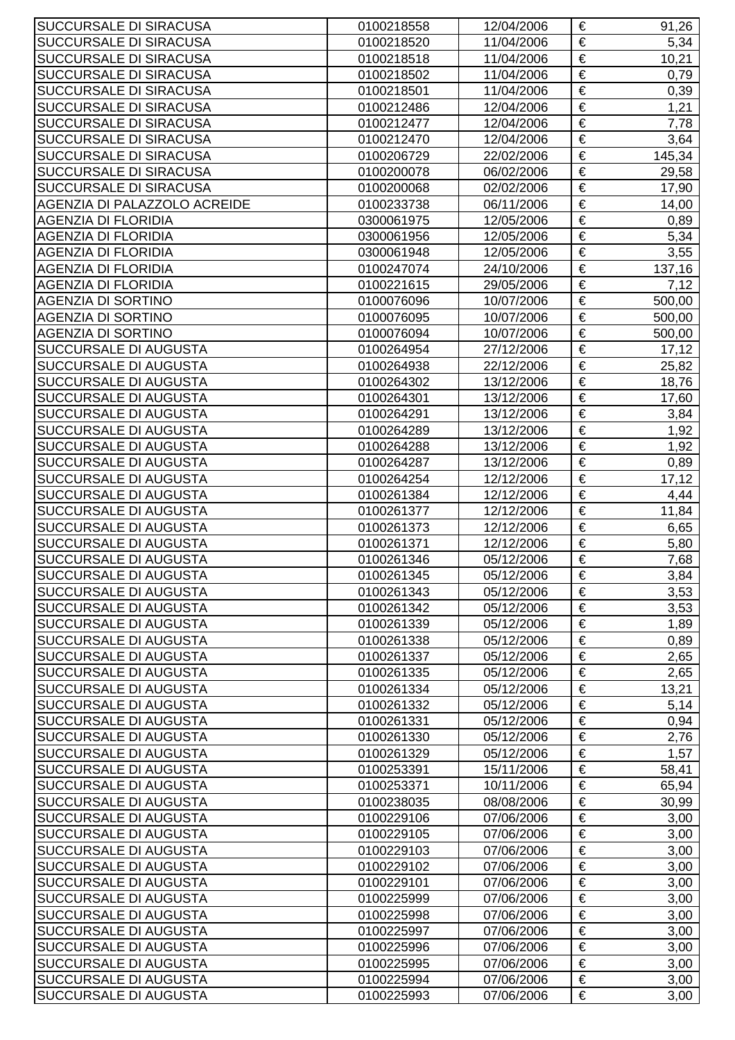| SUCCURSALE DI SIRACUSA                         | 0100218558               | 12/04/2006               | €                     | 91,26        |
|------------------------------------------------|--------------------------|--------------------------|-----------------------|--------------|
| SUCCURSALE DI SIRACUSA                         | 0100218520               | 11/04/2006               | €                     | 5,34         |
| SUCCURSALE DI SIRACUSA                         | 0100218518               | 11/04/2006               | €                     | 10,21        |
| SUCCURSALE DI SIRACUSA                         | 0100218502               | 11/04/2006               | €                     | 0,79         |
| SUCCURSALE DI SIRACUSA                         | 0100218501               | 11/04/2006               | €                     | 0,39         |
| SUCCURSALE DI SIRACUSA                         | 0100212486               | 12/04/2006               | €                     | 1,21         |
| SUCCURSALE DI SIRACUSA                         | 0100212477               | 12/04/2006               | $\overline{\epsilon}$ | 7,78         |
| SUCCURSALE DI SIRACUSA                         | 0100212470               | 12/04/2006               | €                     | 3,64         |
| SUCCURSALE DI SIRACUSA                         | 0100206729               | 22/02/2006               | €                     | 145,34       |
| SUCCURSALE DI SIRACUSA                         | 0100200078               | 06/02/2006               | €                     | 29,58        |
| SUCCURSALE DI SIRACUSA                         | 0100200068               | 02/02/2006               | €                     | 17,90        |
| AGENZIA DI PALAZZOLO ACREIDE                   | 0100233738               | 06/11/2006               | €                     | 14,00        |
| <b>AGENZIA DI FLORIDIA</b>                     | 0300061975               | 12/05/2006               | €                     | 0,89         |
| <b>AGENZIA DI FLORIDIA</b>                     | 0300061956               | 12/05/2006               | €                     | 5,34         |
| <b>AGENZIA DI FLORIDIA</b>                     | 0300061948               | 12/05/2006               | €                     | 3,55         |
| <b>AGENZIA DI FLORIDIA</b>                     | 0100247074               | 24/10/2006               | €                     | 137,16       |
| AGENZIA DI FLORIDIA                            | 0100221615               | 29/05/2006               | €                     | 7,12         |
| <b>AGENZIA DI SORTINO</b>                      | 0100076096               | 10/07/2006               | $\overline{\epsilon}$ | 500,00       |
| <b>AGENZIA DI SORTINO</b>                      | 0100076095               | 10/07/2006               | €                     | 500,00       |
| <b>AGENZIA DI SORTINO</b>                      | 0100076094               | 10/07/2006               | €                     | 500,00       |
| SUCCURSALE DI AUGUSTA                          | 0100264954               | 27/12/2006               | €                     | 17,12        |
| SUCCURSALE DI AUGUSTA                          | 0100264938               | 22/12/2006               | €                     | 25,82        |
| SUCCURSALE DI AUGUSTA                          | 0100264302               | 13/12/2006               | €                     | 18,76        |
| SUCCURSALE DI AUGUSTA                          | 0100264301               | 13/12/2006               | €                     | 17,60        |
| SUCCURSALE DI AUGUSTA                          | 0100264291               | 13/12/2006               | €                     | 3,84         |
| SUCCURSALE DI AUGUSTA                          | 0100264289               | 13/12/2006               | €                     | 1,92         |
| SUCCURSALE DI AUGUSTA                          | 0100264288               | 13/12/2006               | €                     | 1,92         |
| SUCCURSALE DI AUGUSTA                          | 0100264287               | 13/12/2006               | €                     | 0,89         |
| SUCCURSALE DI AUGUSTA                          | 0100264254               | 12/12/2006               | €                     | 17,12        |
| SUCCURSALE DI AUGUSTA                          | 0100261384               | 12/12/2006               | €                     | 4,44         |
| SUCCURSALE DI AUGUSTA                          | 0100261377               | 12/12/2006               | €                     | 11,84        |
| SUCCURSALE DI AUGUSTA                          | 0100261373               | 12/12/2006               | €                     | 6,65         |
| SUCCURSALE DI AUGUSTA                          | 0100261371               | 12/12/2006               | €                     | 5,80         |
| SUCCURSALE DI AUGUSTA                          | 0100261346               | 05/12/2006               | €                     | 7,68         |
| SUCCURSALE DI AUGUSTA                          | 0100261345               | 05/12/2006               | €                     | 3,84         |
| SUCCURSALE DI AUGUSTA                          | 0100261343               | 05/12/2006               | €                     | 3,53         |
| SUCCURSALE DI AUGUSTA                          | 0100261342               | 05/12/2006               | €                     | 3,53         |
| SUCCURSALE DI AUGUSTA                          | 0100261339               | 05/12/2006               | €                     | 1,89         |
| SUCCURSALE DI AUGUSTA                          | 0100261338               | 05/12/2006               | €                     | 0,89         |
| SUCCURSALE DI AUGUSTA                          | 0100261337               | 05/12/2006               | €                     | 2,65         |
| SUCCURSALE DI AUGUSTA                          | 0100261335               | 05/12/2006               | €                     | 2,65         |
| SUCCURSALE DI AUGUSTA                          | 0100261334               | 05/12/2006               | €                     | 13,21        |
| <b>SUCCURSALE DI AUGUSTA</b>                   | 0100261332               | 05/12/2006               | $\overline{\epsilon}$ | 5,14         |
| SUCCURSALE DI AUGUSTA                          | 0100261331               | 05/12/2006               | €                     | 0,94         |
| SUCCURSALE DI AUGUSTA                          | 0100261330               | 05/12/2006               | €                     | 2,76         |
| SUCCURSALE DI AUGUSTA                          | 0100261329               | 05/12/2006               | €                     | 1,57         |
| SUCCURSALE DI AUGUSTA                          | 0100253391               | 15/11/2006               | €                     | 58,41        |
| SUCCURSALE DI AUGUSTA                          | 0100253371               | 10/11/2006               | €                     | 65,94        |
| SUCCURSALE DI AUGUSTA                          | 0100238035               | 08/08/2006               | €                     | 30,99        |
| SUCCURSALE DI AUGUSTA                          | 0100229106               | 07/06/2006               | €                     | 3,00         |
| SUCCURSALE DI AUGUSTA                          | 0100229105               | 07/06/2006               | €                     | 3,00         |
| SUCCURSALE DI AUGUSTA                          | 0100229103               | 07/06/2006               | €                     | 3,00         |
| SUCCURSALE DI AUGUSTA                          | 0100229102               | 07/06/2006               | €                     | 3,00         |
| SUCCURSALE DI AUGUSTA                          | 0100229101               | 07/06/2006               | $\overline{\epsilon}$ | 3,00         |
| SUCCURSALE DI AUGUSTA                          | 0100225999               | 07/06/2006               | €                     | 3,00         |
| SUCCURSALE DI AUGUSTA                          | 0100225998               | 07/06/2006               | €<br>€                | 3,00         |
| SUCCURSALE DI AUGUSTA                          | 0100225997               | 07/06/2006               |                       | 3,00         |
| SUCCURSALE DI AUGUSTA                          | 0100225996               | 07/06/2006               | €<br>€                | 3,00         |
| SUCCURSALE DI AUGUSTA<br>SUCCURSALE DI AUGUSTA | 0100225995<br>0100225994 | 07/06/2006<br>07/06/2006 | €                     | 3,00         |
| SUCCURSALE DI AUGUSTA                          | 0100225993               | 07/06/2006               | €                     | 3,00<br>3,00 |
|                                                |                          |                          |                       |              |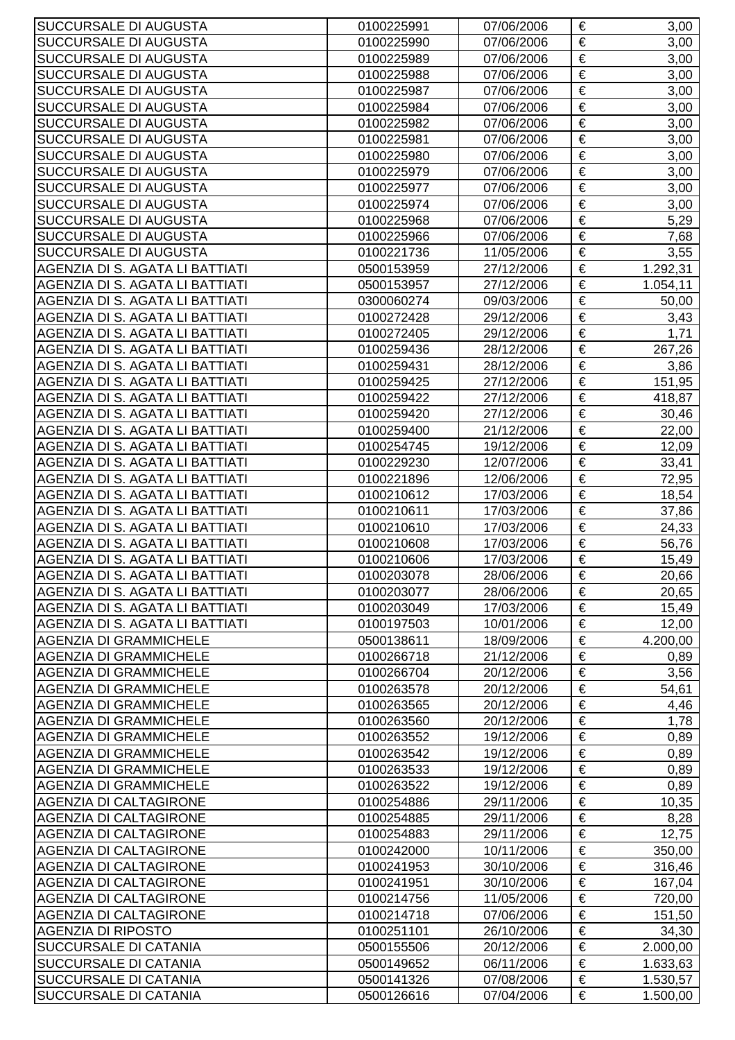| SUCCURSALE DI AUGUSTA           | 0100225991 | 07/06/2006 | €                     | 3,00     |
|---------------------------------|------------|------------|-----------------------|----------|
| SUCCURSALE DI AUGUSTA           | 0100225990 | 07/06/2006 | €                     | 3,00     |
| <b>SUCCURSALE DI AUGUSTA</b>    | 0100225989 | 07/06/2006 | €                     | 3,00     |
| SUCCURSALE DI AUGUSTA           | 0100225988 | 07/06/2006 | €                     | 3,00     |
| SUCCURSALE DI AUGUSTA           | 0100225987 | 07/06/2006 | €                     | 3,00     |
| SUCCURSALE DI AUGUSTA           | 0100225984 | 07/06/2006 | €                     | 3,00     |
| SUCCURSALE DI AUGUSTA           | 0100225982 | 07/06/2006 | $\overline{\epsilon}$ | 3,00     |
| SUCCURSALE DI AUGUSTA           | 0100225981 | 07/06/2006 | €                     | 3,00     |
| SUCCURSALE DI AUGUSTA           | 0100225980 | 07/06/2006 | €                     | 3,00     |
| SUCCURSALE DI AUGUSTA           | 0100225979 | 07/06/2006 | €                     | 3,00     |
| SUCCURSALE DI AUGUSTA           | 0100225977 | 07/06/2006 | €                     | 3,00     |
| SUCCURSALE DI AUGUSTA           | 0100225974 | 07/06/2006 | €                     | 3,00     |
| SUCCURSALE DI AUGUSTA           | 0100225968 | 07/06/2006 | €                     | 5,29     |
| SUCCURSALE DI AUGUSTA           | 0100225966 | 07/06/2006 | €                     | 7,68     |
| SUCCURSALE DI AUGUSTA           | 0100221736 | 11/05/2006 | €                     | 3,55     |
| AGENZIA DI S. AGATA LI BATTIATI | 0500153959 | 27/12/2006 | $\overline{\epsilon}$ | 1.292,31 |
| AGENZIA DI S. AGATA LI BATTIATI | 0500153957 | 27/12/2006 | €                     | 1.054,11 |
| AGENZIA DI S. AGATA LI BATTIATI | 0300060274 | 09/03/2006 | $\overline{\epsilon}$ | 50,00    |
| AGENZIA DI S. AGATA LI BATTIATI | 0100272428 | 29/12/2006 | €                     | 3,43     |
| AGENZIA DI S. AGATA LI BATTIATI | 0100272405 | 29/12/2006 | €                     | 1,71     |
| AGENZIA DI S. AGATA LI BATTIATI | 0100259436 | 28/12/2006 | €                     | 267,26   |
| AGENZIA DI S. AGATA LI BATTIATI | 0100259431 | 28/12/2006 | €                     | 3,86     |
| AGENZIA DI S. AGATA LI BATTIATI | 0100259425 | 27/12/2006 | €                     | 151,95   |
| AGENZIA DI S. AGATA LI BATTIATI | 0100259422 | 27/12/2006 | €                     | 418,87   |
| AGENZIA DI S. AGATA LI BATTIATI | 0100259420 | 27/12/2006 | €                     | 30,46    |
| AGENZIA DI S. AGATA LI BATTIATI | 0100259400 | 21/12/2006 | €                     | 22,00    |
| AGENZIA DI S. AGATA LI BATTIATI | 0100254745 | 19/12/2006 | $\overline{\epsilon}$ | 12,09    |
| AGENZIA DI S. AGATA LI BATTIATI | 0100229230 | 12/07/2006 | €                     | 33,41    |
| AGENZIA DI S. AGATA LI BATTIATI | 0100221896 | 12/06/2006 | €                     | 72,95    |
| AGENZIA DI S. AGATA LI BATTIATI | 0100210612 | 17/03/2006 | €                     | 18,54    |
| AGENZIA DI S. AGATA LI BATTIATI | 0100210611 | 17/03/2006 | €                     | 37,86    |
| AGENZIA DI S. AGATA LI BATTIATI | 0100210610 | 17/03/2006 | $\overline{\epsilon}$ | 24,33    |
| AGENZIA DI S. AGATA LI BATTIATI | 0100210608 | 17/03/2006 | €                     | 56,76    |
| AGENZIA DI S. AGATA LI BATTIATI | 0100210606 | 17/03/2006 | €                     | 15,49    |
| AGENZIA DI S. AGATA LI BATTIATI | 0100203078 | 28/06/2006 | €                     | 20,66    |
| AGENZIA DI S. AGATA LI BATTIATI | 0100203077 | 28/06/2006 | €                     | 20,65    |
| AGENZIA DI S. AGATA LI BATTIATI | 0100203049 | 17/03/2006 | €                     | 15,49    |
| AGENZIA DI S. AGATA LI BATTIATI | 0100197503 | 10/01/2006 | €                     | 12,00    |
| <b>AGENZIA DI GRAMMICHELE</b>   | 0500138611 | 18/09/2006 | €                     | 4.200,00 |
| <b>AGENZIA DI GRAMMICHELE</b>   | 0100266718 | 21/12/2006 | €                     | 0,89     |
| <b>AGENZIA DI GRAMMICHELE</b>   | 0100266704 | 20/12/2006 | €                     | 3,56     |
| <b>AGENZIA DI GRAMMICHELE</b>   | 0100263578 | 20/12/2006 | €                     | 54,61    |
| <b>AGENZIA DI GRAMMICHELE</b>   | 0100263565 | 20/12/2006 | $\overline{\epsilon}$ | 4,46     |
| <b>AGENZIA DI GRAMMICHELE</b>   | 0100263560 | 20/12/2006 | €                     | 1,78     |
| <b>AGENZIA DI GRAMMICHELE</b>   | 0100263552 | 19/12/2006 | €                     | 0,89     |
| <b>AGENZIA DI GRAMMICHELE</b>   | 0100263542 | 19/12/2006 | €                     | 0,89     |
| <b>AGENZIA DI GRAMMICHELE</b>   | 0100263533 | 19/12/2006 | €                     | 0,89     |
| <b>AGENZIA DI GRAMMICHELE</b>   | 0100263522 | 19/12/2006 | €                     | 0,89     |
| <b>AGENZIA DI CALTAGIRONE</b>   | 0100254886 | 29/11/2006 | €                     | 10,35    |
| <b>AGENZIA DI CALTAGIRONE</b>   | 0100254885 | 29/11/2006 | €                     | 8,28     |
| <b>AGENZIA DI CALTAGIRONE</b>   | 0100254883 | 29/11/2006 | €                     | 12,75    |
| <b>AGENZIA DI CALTAGIRONE</b>   | 0100242000 | 10/11/2006 | €                     | 350,00   |
| AGENZIA DI CALTAGIRONE          | 0100241953 | 30/10/2006 | €                     | 316,46   |
| <b>AGENZIA DI CALTAGIRONE</b>   | 0100241951 | 30/10/2006 | $\overline{\epsilon}$ | 167,04   |
| AGENZIA DI CALTAGIRONE          | 0100214756 | 11/05/2006 | €                     | 720,00   |
| <b>AGENZIA DI CALTAGIRONE</b>   | 0100214718 | 07/06/2006 | €                     | 151,50   |
| <b>AGENZIA DI RIPOSTO</b>       | 0100251101 | 26/10/2006 | €                     | 34,30    |
| SUCCURSALE DI CATANIA           | 0500155506 | 20/12/2006 | €                     | 2.000,00 |
| SUCCURSALE DI CATANIA           | 0500149652 | 06/11/2006 | €                     | 1.633,63 |
| SUCCURSALE DI CATANIA           | 0500141326 | 07/08/2006 | €                     | 1.530,57 |
| SUCCURSALE DI CATANIA           | 0500126616 | 07/04/2006 | €                     | 1.500,00 |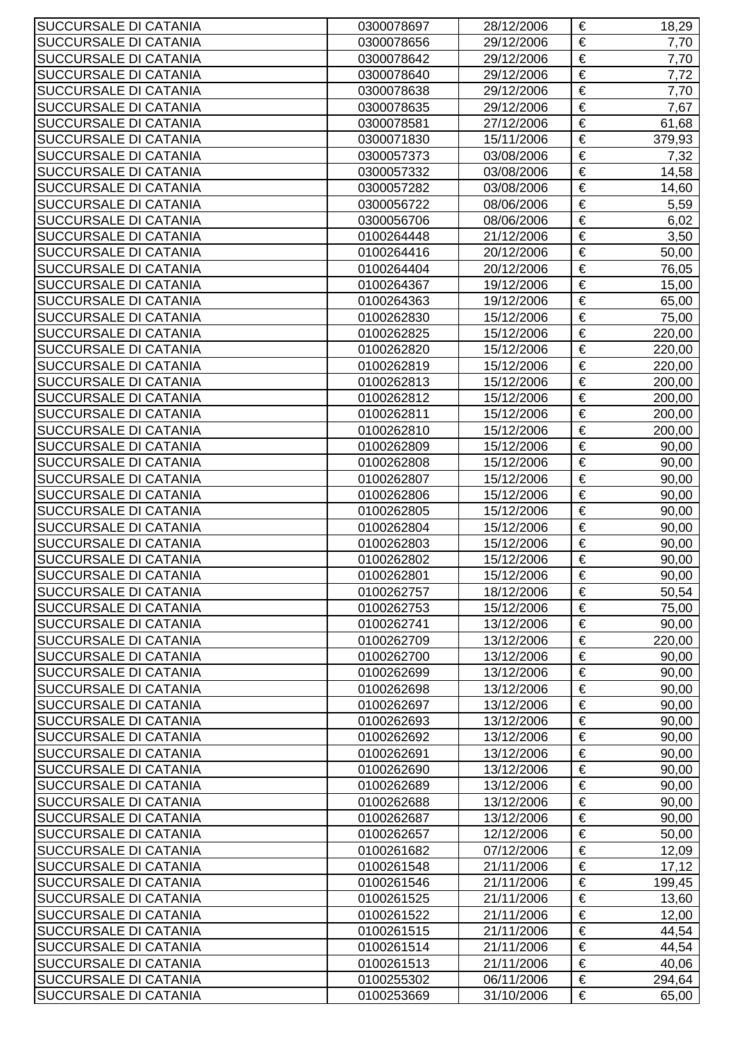| SUCCURSALE DI CATANIA                          | 0300078697 | 28/12/2006 | €                     | 18,29  |
|------------------------------------------------|------------|------------|-----------------------|--------|
| SUCCURSALE DI CATANIA                          | 0300078656 | 29/12/2006 | €                     | 7,70   |
| SUCCURSALE DI CATANIA                          | 0300078642 | 29/12/2006 | €                     | 7,70   |
| SUCCURSALE DI CATANIA                          | 0300078640 | 29/12/2006 | €                     | 7,72   |
| SUCCURSALE DI CATANIA                          | 0300078638 | 29/12/2006 | €                     | 7,70   |
| SUCCURSALE DI CATANIA                          | 0300078635 | 29/12/2006 | $\overline{\epsilon}$ | 7,67   |
| SUCCURSALE DI CATANIA                          | 0300078581 | 27/12/2006 | €                     | 61,68  |
| SUCCURSALE DI CATANIA                          | 0300071830 | 15/11/2006 | €                     | 379,93 |
| SUCCURSALE DI CATANIA                          | 0300057373 | 03/08/2006 | €                     | 7,32   |
| SUCCURSALE DI CATANIA                          | 0300057332 | 03/08/2006 | €                     | 14,58  |
| SUCCURSALE DI CATANIA                          | 0300057282 | 03/08/2006 | €                     | 14,60  |
| SUCCURSALE DI CATANIA                          | 0300056722 | 08/06/2006 | €                     | 5,59   |
| SUCCURSALE DI CATANIA                          | 0300056706 | 08/06/2006 | €                     | 6,02   |
| SUCCURSALE DI CATANIA                          | 0100264448 | 21/12/2006 | €                     | 3,50   |
| SUCCURSALE DI CATANIA                          | 0100264416 | 20/12/2006 | €                     | 50,00  |
| SUCCURSALE DI CATANIA                          | 0100264404 | 20/12/2006 | €                     | 76,05  |
| SUCCURSALE DI CATANIA                          | 0100264367 | 19/12/2006 | $\overline{\epsilon}$ | 15,00  |
| SUCCURSALE DI CATANIA                          | 0100264363 | 19/12/2006 | €                     | 65,00  |
| SUCCURSALE DI CATANIA                          | 0100262830 | 15/12/2006 | €                     | 75,00  |
| SUCCURSALE DI CATANIA                          | 0100262825 | 15/12/2006 | €                     | 220,00 |
|                                                |            |            |                       |        |
| SUCCURSALE DI CATANIA<br>SUCCURSALE DI CATANIA | 0100262820 | 15/12/2006 | €<br>€                | 220,00 |
|                                                | 0100262819 | 15/12/2006 |                       | 220,00 |
| SUCCURSALE DI CATANIA                          | 0100262813 | 15/12/2006 | €                     | 200,00 |
| SUCCURSALE DI CATANIA                          | 0100262812 | 15/12/2006 | €                     | 200,00 |
| SUCCURSALE DI CATANIA                          | 0100262811 | 15/12/2006 | €                     | 200,00 |
| SUCCURSALE DI CATANIA                          | 0100262810 | 15/12/2006 | €                     | 200,00 |
| SUCCURSALE DI CATANIA                          | 0100262809 | 15/12/2006 | €                     | 90,00  |
| SUCCURSALE DI CATANIA                          | 0100262808 | 15/12/2006 | €                     | 90,00  |
| SUCCURSALE DI CATANIA                          | 0100262807 | 15/12/2006 | €                     | 90,00  |
| SUCCURSALE DI CATANIA                          | 0100262806 | 15/12/2006 | €                     | 90,00  |
| SUCCURSALE DI CATANIA                          | 0100262805 | 15/12/2006 | €                     | 90,00  |
| SUCCURSALE DI CATANIA                          | 0100262804 | 15/12/2006 | €                     | 90,00  |
| SUCCURSALE DI CATANIA                          | 0100262803 | 15/12/2006 | €                     | 90,00  |
| SUCCURSALE DI CATANIA                          | 0100262802 | 15/12/2006 | €                     | 90,00  |
| SUCCURSALE DI CATANIA                          | 0100262801 | 15/12/2006 | €                     | 90,00  |
| SUCCURSALE DI CATANIA                          | 0100262757 | 18/12/2006 | €                     | 50,54  |
| SUCCURSALE DI CATANIA                          | 0100262753 | 15/12/2006 | €                     | 75,00  |
| SUCCURSALE DI CATANIA                          | 0100262741 | 13/12/2006 | €                     | 90,00  |
| SUCCURSALE DI CATANIA                          | 0100262709 | 13/12/2006 | €                     | 220,00 |
| SUCCURSALE DI CATANIA                          | 0100262700 | 13/12/2006 | €                     | 90,00  |
| SUCCURSALE DI CATANIA                          | 0100262699 | 13/12/2006 | €                     | 90,00  |
| SUCCURSALE DI CATANIA                          | 0100262698 | 13/12/2006 | €                     | 90,00  |
| SUCCURSALE DI CATANIA                          | 0100262697 | 13/12/2006 | €                     | 90,00  |
| SUCCURSALE DI CATANIA                          | 0100262693 | 13/12/2006 | €                     | 90,00  |
| SUCCURSALE DI CATANIA                          | 0100262692 | 13/12/2006 | €                     | 90,00  |
| SUCCURSALE DI CATANIA                          | 0100262691 | 13/12/2006 | €                     | 90,00  |
| SUCCURSALE DI CATANIA                          | 0100262690 | 13/12/2006 | €                     | 90,00  |
| SUCCURSALE DI CATANIA                          | 0100262689 | 13/12/2006 | €                     | 90,00  |
| SUCCURSALE DI CATANIA                          | 0100262688 | 13/12/2006 | €                     | 90,00  |
| SUCCURSALE DI CATANIA                          | 0100262687 | 13/12/2006 | €                     | 90,00  |
| SUCCURSALE DI CATANIA                          | 0100262657 | 12/12/2006 | €                     | 50,00  |
| SUCCURSALE DI CATANIA                          | 0100261682 | 07/12/2006 | €                     | 12,09  |
| SUCCURSALE DI CATANIA                          | 0100261548 | 21/11/2006 | €                     | 17,12  |
| SUCCURSALE DI CATANIA                          | 0100261546 | 21/11/2006 | €                     | 199,45 |
| SUCCURSALE DI CATANIA                          | 0100261525 | 21/11/2006 | €                     | 13,60  |
| SUCCURSALE DI CATANIA                          | 0100261522 | 21/11/2006 | €                     | 12,00  |
| SUCCURSALE DI CATANIA                          | 0100261515 | 21/11/2006 | €                     | 44,54  |
| SUCCURSALE DI CATANIA                          | 0100261514 | 21/11/2006 | €                     | 44,54  |
| SUCCURSALE DI CATANIA                          | 0100261513 | 21/11/2006 | €                     | 40,06  |
| SUCCURSALE DI CATANIA                          | 0100255302 | 06/11/2006 | €                     | 294,64 |
| SUCCURSALE DI CATANIA                          | 0100253669 | 31/10/2006 | €                     | 65,00  |
|                                                |            |            |                       |        |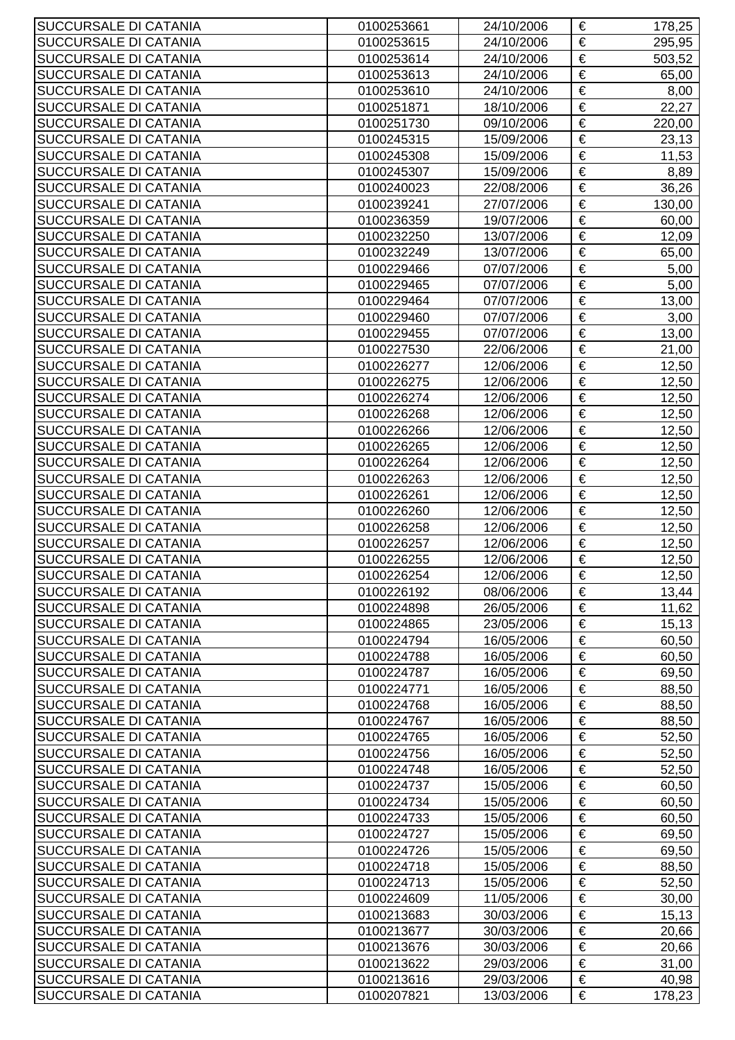| SUCCURSALE DI CATANIA                          | 0100253661               | 24/10/2006               | €                          | 178,25          |
|------------------------------------------------|--------------------------|--------------------------|----------------------------|-----------------|
| SUCCURSALE DI CATANIA                          | 0100253615               | 24/10/2006               | €                          | 295,95          |
| SUCCURSALE DI CATANIA                          | 0100253614               | 24/10/2006               | €                          | 503,52          |
| SUCCURSALE DI CATANIA                          | 0100253613               | 24/10/2006               | €                          | 65,00           |
| SUCCURSALE DI CATANIA                          | 0100253610               | 24/10/2006               | €                          | 8,00            |
| SUCCURSALE DI CATANIA                          | 0100251871               | 18/10/2006               | €                          | 22,27           |
| SUCCURSALE DI CATANIA                          | 0100251730               | 09/10/2006               | $\overline{\epsilon}$      | 220,00          |
| SUCCURSALE DI CATANIA                          | 0100245315               | 15/09/2006               | €                          | 23,13           |
| SUCCURSALE DI CATANIA                          | 0100245308               | 15/09/2006               | €                          | 11,53           |
| SUCCURSALE DI CATANIA                          | 0100245307               | 15/09/2006               | €                          | 8,89            |
| SUCCURSALE DI CATANIA                          | 0100240023               | 22/08/2006               | €                          | 36,26           |
| SUCCURSALE DI CATANIA                          | 0100239241               | 27/07/2006               | €                          | 130,00          |
| SUCCURSALE DI CATANIA                          | 0100236359               | 19/07/2006               | €                          | 60,00           |
| SUCCURSALE DI CATANIA                          | 0100232250               | 13/07/2006               | €                          | 12,09           |
| SUCCURSALE DI CATANIA                          | 0100232249               | 13/07/2006               | €                          | 65,00           |
| SUCCURSALE DI CATANIA                          | 0100229466               | 07/07/2006               | $\overline{\epsilon}$      | 5,00            |
| SUCCURSALE DI CATANIA                          | 0100229465               | 07/07/2006               | €                          | 5,00            |
| SUCCURSALE DI CATANIA                          | 0100229464               | 07/07/2006               | $\overline{\epsilon}$      | 13,00           |
| SUCCURSALE DI CATANIA                          | 0100229460               | 07/07/2006               | €                          | 3,00            |
| SUCCURSALE DI CATANIA                          | 0100229455               | 07/07/2006               | €                          | 13,00           |
| SUCCURSALE DI CATANIA                          | 0100227530               | 22/06/2006               | €                          | 21,00           |
| SUCCURSALE DI CATANIA                          | 0100226277               | 12/06/2006               | €                          | 12,50           |
| SUCCURSALE DI CATANIA                          | 0100226275               | 12/06/2006               | €                          | 12,50           |
| SUCCURSALE DI CATANIA                          | 0100226274               | 12/06/2006               | €                          | 12,50           |
| SUCCURSALE DI CATANIA                          | 0100226268               | 12/06/2006               | €                          | 12,50           |
| SUCCURSALE DI CATANIA                          | 0100226266               | 12/06/2006               | €                          | 12,50           |
| SUCCURSALE DI CATANIA                          | 0100226265               | 12/06/2006               | $\overline{\epsilon}$      | 12,50           |
| SUCCURSALE DI CATANIA                          | 0100226264               | 12/06/2006               | €                          | 12,50           |
| SUCCURSALE DI CATANIA                          | 0100226263               | 12/06/2006               | €                          | 12,50           |
| SUCCURSALE DI CATANIA                          | 0100226261               | 12/06/2006               | €                          | 12,50           |
| SUCCURSALE DI CATANIA                          | 0100226260               | 12/06/2006               | €                          | 12,50           |
| SUCCURSALE DI CATANIA                          | 0100226258               | 12/06/2006               | €                          | 12,50           |
| SUCCURSALE DI CATANIA                          | 0100226257               | 12/06/2006               | €                          | 12,50           |
| SUCCURSALE DI CATANIA                          | 0100226255               | 12/06/2006               | €                          | 12,50           |
| SUCCURSALE DI CATANIA                          | 0100226254               | 12/06/2006               | €                          | 12,50           |
| SUCCURSALE DI CATANIA                          | 0100226192               | 08/06/2006               | €                          | 13,44           |
| SUCCURSALE DI CATANIA                          | 0100224898               | 26/05/2006               | €                          | 11,62           |
| SUCCURSALE DI CATANIA                          | 0100224865               | 23/05/2006               | €                          | 15, 13          |
| SUCCURSALE DI CATANIA                          | 0100224794               | 16/05/2006               | €                          | 60,50           |
| SUCCURSALE DI CATANIA                          | 0100224788               | 16/05/2006               | €                          | 60,50           |
| SUCCURSALE DI CATANIA                          | 0100224787               | 16/05/2006               | €                          | 69,50           |
| SUCCURSALE DI CATANIA                          | 0100224771               | 16/05/2006               | €                          | 88,50           |
| SUCCURSALE DI CATANIA                          | 0100224768               | 16/05/2006               | $\overline{\epsilon}$      | 88,50           |
| SUCCURSALE DI CATANIA                          | 0100224767               | 16/05/2006               | €                          | 88,50           |
| SUCCURSALE DI CATANIA                          | 0100224765               | 16/05/2006               | €                          | 52,50           |
| SUCCURSALE DI CATANIA                          | 0100224756               | 16/05/2006               | €                          | 52,50           |
| SUCCURSALE DI CATANIA                          | 0100224748               | 16/05/2006               | €                          | 52,50           |
| SUCCURSALE DI CATANIA                          | 0100224737               | 15/05/2006               | €                          | 60,50           |
| SUCCURSALE DI CATANIA                          | 0100224734               | 15/05/2006               | €                          | 60,50           |
| SUCCURSALE DI CATANIA                          | 0100224733               | 15/05/2006               | €                          | 60,50           |
| SUCCURSALE DI CATANIA                          | 0100224727               | 15/05/2006               | €                          | 69,50           |
| SUCCURSALE DI CATANIA                          | 0100224726               | 15/05/2006               | €                          | 69,50           |
| SUCCURSALE DI CATANIA                          | 0100224718               | 15/05/2006               | €<br>$\overline{\epsilon}$ | 88,50           |
| SUCCURSALE DI CATANIA                          | 0100224713               | 15/05/2006               | €                          | 52,50           |
| SUCCURSALE DI CATANIA<br>SUCCURSALE DI CATANIA | 0100224609<br>0100213683 | 11/05/2006<br>30/03/2006 | €                          | 30,00<br>15, 13 |
| SUCCURSALE DI CATANIA                          | 0100213677               | 30/03/2006               | €                          | 20,66           |
| SUCCURSALE DI CATANIA                          | 0100213676               | 30/03/2006               | €                          | 20,66           |
| SUCCURSALE DI CATANIA                          | 0100213622               | 29/03/2006               | €                          | 31,00           |
| SUCCURSALE DI CATANIA                          | 0100213616               | 29/03/2006               | €                          | 40,98           |
| SUCCURSALE DI CATANIA                          | 0100207821               | 13/03/2006               | €                          | 178,23          |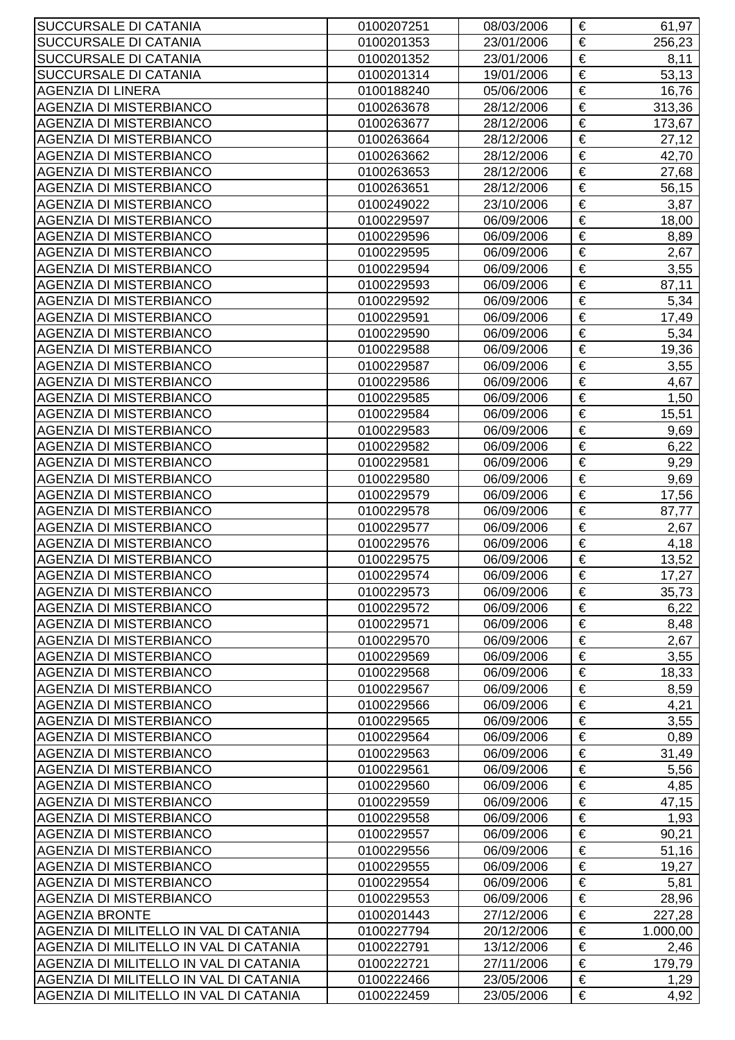| SUCCURSALE DI CATANIA                  | 0100207251 | 08/03/2006 | €                     | 61,97    |
|----------------------------------------|------------|------------|-----------------------|----------|
| SUCCURSALE DI CATANIA                  | 0100201353 | 23/01/2006 | €                     | 256,23   |
| SUCCURSALE DI CATANIA                  | 0100201352 | 23/01/2006 | €                     | 8,11     |
| SUCCURSALE DI CATANIA                  | 0100201314 | 19/01/2006 | €                     | 53,13    |
| <b>AGENZIA DI LINERA</b>               | 0100188240 | 05/06/2006 | €                     | 16,76    |
| <b>AGENZIA DI MISTERBIANCO</b>         | 0100263678 | 28/12/2006 | €                     | 313,36   |
| <b>AGENZIA DI MISTERBIANCO</b>         | 0100263677 | 28/12/2006 | €                     | 173,67   |
| <b>AGENZIA DI MISTERBIANCO</b>         | 0100263664 | 28/12/2006 | €                     | 27,12    |
| <b>AGENZIA DI MISTERBIANCO</b>         | 0100263662 | 28/12/2006 | €                     | 42,70    |
| <b>AGENZIA DI MISTERBIANCO</b>         | 0100263653 | 28/12/2006 | €                     | 27,68    |
| <b>AGENZIA DI MISTERBIANCO</b>         | 0100263651 | 28/12/2006 | €                     | 56,15    |
| <b>AGENZIA DI MISTERBIANCO</b>         | 0100249022 | 23/10/2006 | €                     | 3,87     |
| <b>AGENZIA DI MISTERBIANCO</b>         | 0100229597 | 06/09/2006 | €                     | 18,00    |
| <b>AGENZIA DI MISTERBIANCO</b>         | 0100229596 | 06/09/2006 | €                     | 8,89     |
| <b>AGENZIA DI MISTERBIANCO</b>         | 0100229595 | 06/09/2006 | €                     | 2,67     |
| <b>AGENZIA DI MISTERBIANCO</b>         | 0100229594 | 06/09/2006 | €                     | 3,55     |
| <b>AGENZIA DI MISTERBIANCO</b>         | 0100229593 | 06/09/2006 | €                     | 87,11    |
| <b>AGENZIA DI MISTERBIANCO</b>         | 0100229592 | 06/09/2006 | €                     | 5,34     |
| <b>AGENZIA DI MISTERBIANCO</b>         | 0100229591 | 06/09/2006 | €                     | 17,49    |
| <b>AGENZIA DI MISTERBIANCO</b>         | 0100229590 | 06/09/2006 | €                     | 5,34     |
| <b>AGENZIA DI MISTERBIANCO</b>         | 0100229588 | 06/09/2006 | €                     | 19,36    |
| <b>AGENZIA DI MISTERBIANCO</b>         | 0100229587 | 06/09/2006 | €                     | 3,55     |
|                                        |            |            | €                     |          |
| <b>AGENZIA DI MISTERBIANCO</b>         | 0100229586 | 06/09/2006 |                       | 4,67     |
| <b>AGENZIA DI MISTERBIANCO</b>         | 0100229585 | 06/09/2006 | €                     | 1,50     |
| <b>AGENZIA DI MISTERBIANCO</b>         | 0100229584 | 06/09/2006 | €                     | 15,51    |
| <b>AGENZIA DI MISTERBIANCO</b>         | 0100229583 | 06/09/2006 | $\overline{\epsilon}$ | 9,69     |
| <b>AGENZIA DI MISTERBIANCO</b>         | 0100229582 | 06/09/2006 | €                     | 6,22     |
| <b>AGENZIA DI MISTERBIANCO</b>         | 0100229581 | 06/09/2006 | €                     | 9,29     |
| <b>AGENZIA DI MISTERBIANCO</b>         | 0100229580 | 06/09/2006 | €                     | 9,69     |
| <b>AGENZIA DI MISTERBIANCO</b>         | 0100229579 | 06/09/2006 | €                     | 17,56    |
| <b>AGENZIA DI MISTERBIANCO</b>         | 0100229578 | 06/09/2006 | €                     | 87,77    |
| <b>AGENZIA DI MISTERBIANCO</b>         | 0100229577 | 06/09/2006 | €                     | 2,67     |
| <b>AGENZIA DI MISTERBIANCO</b>         | 0100229576 | 06/09/2006 | €                     | 4,18     |
| <b>AGENZIA DI MISTERBIANCO</b>         | 0100229575 | 06/09/2006 | €                     | 13,52    |
| <b>AGENZIA DI MISTERBIANCO</b>         | 0100229574 | 06/09/2006 | €                     | 17,27    |
| <b>AGENZIA DI MISTERBIANCO</b>         | 0100229573 | 06/09/2006 | €                     | 35,73    |
| <b>AGENZIA DI MISTERBIANCO</b>         | 0100229572 | 06/09/2006 | €                     | 6,22     |
| <b>AGENZIA DI MISTERBIANCO</b>         | 0100229571 | 06/09/2006 | €                     | 8,48     |
| <b>AGENZIA DI MISTERBIANCO</b>         | 0100229570 | 06/09/2006 | €                     | 2,67     |
| <b>AGENZIA DI MISTERBIANCO</b>         | 0100229569 | 06/09/2006 | €                     | 3,55     |
| <b>AGENZIA DI MISTERBIANCO</b>         | 0100229568 | 06/09/2006 | €                     | 18,33    |
| <b>AGENZIA DI MISTERBIANCO</b>         | 0100229567 | 06/09/2006 | €                     | 8,59     |
| <b>AGENZIA DI MISTERBIANCO</b>         | 0100229566 | 06/09/2006 | €                     | 4,21     |
| <b>AGENZIA DI MISTERBIANCO</b>         | 0100229565 | 06/09/2006 | $\overline{\epsilon}$ | 3,55     |
| <b>AGENZIA DI MISTERBIANCO</b>         | 0100229564 | 06/09/2006 | €                     | 0,89     |
| <b>AGENZIA DI MISTERBIANCO</b>         | 0100229563 | 06/09/2006 | €                     | 31,49    |
| <b>AGENZIA DI MISTERBIANCO</b>         | 0100229561 | 06/09/2006 | €                     | 5,56     |
| <b>AGENZIA DI MISTERBIANCO</b>         | 0100229560 | 06/09/2006 | €                     | 4,85     |
| <b>AGENZIA DI MISTERBIANCO</b>         | 0100229559 | 06/09/2006 | €                     | 47,15    |
| <b>AGENZIA DI MISTERBIANCO</b>         | 0100229558 | 06/09/2006 | €                     | 1,93     |
| <b>AGENZIA DI MISTERBIANCO</b>         | 0100229557 | 06/09/2006 | €                     | 90,21    |
| <b>AGENZIA DI MISTERBIANCO</b>         | 0100229556 | 06/09/2006 | €                     | 51,16    |
| <b>AGENZIA DI MISTERBIANCO</b>         | 0100229555 | 06/09/2006 | €                     | 19,27    |
| <b>AGENZIA DI MISTERBIANCO</b>         | 0100229554 | 06/09/2006 | €                     | 5,81     |
| <b>AGENZIA DI MISTERBIANCO</b>         | 0100229553 | 06/09/2006 | €                     | 28,96    |
| <b>AGENZIA BRONTE</b>                  | 0100201443 | 27/12/2006 | €                     | 227,28   |
| AGENZIA DI MILITELLO IN VAL DI CATANIA | 0100227794 | 20/12/2006 | €                     | 1.000,00 |
| AGENZIA DI MILITELLO IN VAL DI CATANIA | 0100222791 | 13/12/2006 | €                     | 2,46     |
| AGENZIA DI MILITELLO IN VAL DI CATANIA | 0100222721 | 27/11/2006 | €                     | 179,79   |
| AGENZIA DI MILITELLO IN VAL DI CATANIA | 0100222466 | 23/05/2006 | €                     | 1,29     |
| AGENZIA DI MILITELLO IN VAL DI CATANIA | 0100222459 | 23/05/2006 | €                     | 4,92     |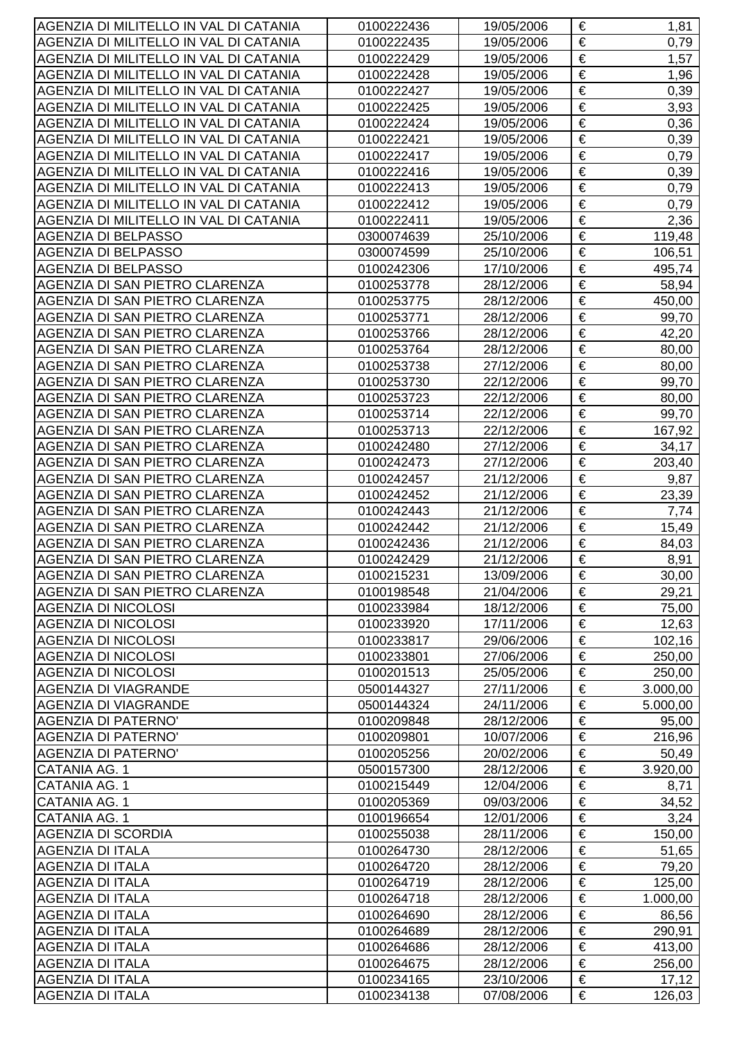| AGENZIA DI MILITELLO IN VAL DI CATANIA | 0100222436 | 19/05/2006 | €                     | 1,81     |
|----------------------------------------|------------|------------|-----------------------|----------|
| AGENZIA DI MILITELLO IN VAL DI CATANIA | 0100222435 | 19/05/2006 | €                     | 0,79     |
| AGENZIA DI MILITELLO IN VAL DI CATANIA | 0100222429 | 19/05/2006 | €                     | 1,57     |
| AGENZIA DI MILITELLO IN VAL DI CATANIA | 0100222428 | 19/05/2006 | €                     | 1,96     |
| AGENZIA DI MILITELLO IN VAL DI CATANIA | 0100222427 | 19/05/2006 | €                     | 0,39     |
| AGENZIA DI MILITELLO IN VAL DI CATANIA | 0100222425 | 19/05/2006 | €                     | 3,93     |
| AGENZIA DI MILITELLO IN VAL DI CATANIA | 0100222424 | 19/05/2006 | $\overline{\epsilon}$ | 0,36     |
| AGENZIA DI MILITELLO IN VAL DI CATANIA | 0100222421 | 19/05/2006 | €                     | 0,39     |
| AGENZIA DI MILITELLO IN VAL DI CATANIA | 0100222417 | 19/05/2006 | €                     | 0,79     |
| AGENZIA DI MILITELLO IN VAL DI CATANIA | 0100222416 | 19/05/2006 | €                     | 0,39     |
| AGENZIA DI MILITELLO IN VAL DI CATANIA | 0100222413 | 19/05/2006 | €                     | 0,79     |
| AGENZIA DI MILITELLO IN VAL DI CATANIA | 0100222412 | 19/05/2006 | €                     | 0,79     |
| AGENZIA DI MILITELLO IN VAL DI CATANIA | 0100222411 | 19/05/2006 | €                     | 2,36     |
| AGENZIA DI BELPASSO                    | 0300074639 | 25/10/2006 | €                     | 119,48   |
| AGENZIA DI BELPASSO                    | 0300074599 | 25/10/2006 | €                     | 106,51   |
| <b>AGENZIA DI BELPASSO</b>             | 0100242306 | 17/10/2006 | $\overline{\epsilon}$ | 495,74   |
| AGENZIA DI SAN PIETRO CLARENZA         | 0100253778 | 28/12/2006 | €                     | 58,94    |
| AGENZIA DI SAN PIETRO CLARENZA         | 0100253775 | 28/12/2006 | $\overline{\epsilon}$ | 450,00   |
| AGENZIA DI SAN PIETRO CLARENZA         | 0100253771 | 28/12/2006 | €                     | 99,70    |
| AGENZIA DI SAN PIETRO CLARENZA         | 0100253766 | 28/12/2006 | €                     | 42,20    |
| AGENZIA DI SAN PIETRO CLARENZA         | 0100253764 | 28/12/2006 | $\overline{\epsilon}$ | 80,00    |
| AGENZIA DI SAN PIETRO CLARENZA         | 0100253738 | 27/12/2006 | €                     | 80,00    |
| AGENZIA DI SAN PIETRO CLARENZA         | 0100253730 | 22/12/2006 | €                     | 99,70    |
| AGENZIA DI SAN PIETRO CLARENZA         | 0100253723 | 22/12/2006 | €                     | 80,00    |
| AGENZIA DI SAN PIETRO CLARENZA         | 0100253714 | 22/12/2006 | €                     | 99,70    |
| AGENZIA DI SAN PIETRO CLARENZA         | 0100253713 | 22/12/2006 | €                     | 167,92   |
| AGENZIA DI SAN PIETRO CLARENZA         | 0100242480 | 27/12/2006 | $\overline{\epsilon}$ | 34,17    |
| AGENZIA DI SAN PIETRO CLARENZA         | 0100242473 | 27/12/2006 | €                     | 203,40   |
| AGENZIA DI SAN PIETRO CLARENZA         | 0100242457 | 21/12/2006 | €                     | 9,87     |
| AGENZIA DI SAN PIETRO CLARENZA         | 0100242452 | 21/12/2006 | €                     | 23,39    |
| AGENZIA DI SAN PIETRO CLARENZA         | 0100242443 | 21/12/2006 | €                     | 7,74     |
| AGENZIA DI SAN PIETRO CLARENZA         | 0100242442 | 21/12/2006 | €                     | 15,49    |
| AGENZIA DI SAN PIETRO CLARENZA         | 0100242436 | 21/12/2006 | $\overline{\epsilon}$ | 84,03    |
| AGENZIA DI SAN PIETRO CLARENZA         | 0100242429 | 21/12/2006 | €                     | 8,91     |
| AGENZIA DI SAN PIETRO CLARENZA         | 0100215231 | 13/09/2006 | €                     | 30,00    |
| AGENZIA DI SAN PIETRO CLARENZA         | 0100198548 | 21/04/2006 | €                     | 29,21    |
| <b>AGENZIA DI NICOLOSI</b>             | 0100233984 | 18/12/2006 | €                     | 75,00    |
| <b>AGENZIA DI NICOLOSI</b>             | 0100233920 | 17/11/2006 | €                     | 12,63    |
| <b>AGENZIA DI NICOLOSI</b>             | 0100233817 | 29/06/2006 | €                     | 102,16   |
| <b>AGENZIA DI NICOLOSI</b>             | 0100233801 | 27/06/2006 | €                     | 250,00   |
| <b>AGENZIA DI NICOLOSI</b>             | 0100201513 | 25/05/2006 | €                     | 250,00   |
| AGENZIA DI VIAGRANDE                   | 0500144327 | 27/11/2006 | €                     | 3.000,00 |
| <b>AGENZIA DI VIAGRANDE</b>            | 0500144324 | 24/11/2006 | €                     | 5.000,00 |
| <b>AGENZIA DI PATERNO'</b>             | 0100209848 | 28/12/2006 | €                     | 95,00    |
| <b>AGENZIA DI PATERNO'</b>             | 0100209801 | 10/07/2006 | €                     | 216,96   |
| <b>AGENZIA DI PATERNO'</b>             | 0100205256 | 20/02/2006 | €                     | 50,49    |
| CATANIA AG. 1                          | 0500157300 | 28/12/2006 | €                     | 3.920,00 |
| CATANIA AG. 1                          | 0100215449 | 12/04/2006 | €                     | 8,71     |
| CATANIA AG. 1                          | 0100205369 | 09/03/2006 | €                     | 34,52    |
| CATANIA AG. 1                          | 0100196654 | 12/01/2006 | €                     | 3,24     |
| <b>AGENZIA DI SCORDIA</b>              | 0100255038 | 28/11/2006 | €                     | 150,00   |
| <b>AGENZIA DI ITALA</b>                | 0100264730 | 28/12/2006 | €                     | 51,65    |
| <b>AGENZIA DI ITALA</b>                | 0100264720 | 28/12/2006 | €                     | 79,20    |
| <b>AGENZIA DI ITALA</b>                | 0100264719 | 28/12/2006 | $\overline{\epsilon}$ | 125,00   |
| <b>AGENZIA DI ITALA</b>                | 0100264718 | 28/12/2006 | €                     | 1.000,00 |
| <b>AGENZIA DI ITALA</b>                | 0100264690 | 28/12/2006 | €                     | 86,56    |
| <b>AGENZIA DI ITALA</b>                | 0100264689 | 28/12/2006 | €                     | 290,91   |
| <b>AGENZIA DI ITALA</b>                | 0100264686 | 28/12/2006 | €                     | 413,00   |
| <b>AGENZIA DI ITALA</b>                | 0100264675 | 28/12/2006 | €                     | 256,00   |
| <b>AGENZIA DI ITALA</b>                | 0100234165 | 23/10/2006 | €                     | 17,12    |
| <b>AGENZIA DI ITALA</b>                | 0100234138 | 07/08/2006 | €                     | 126,03   |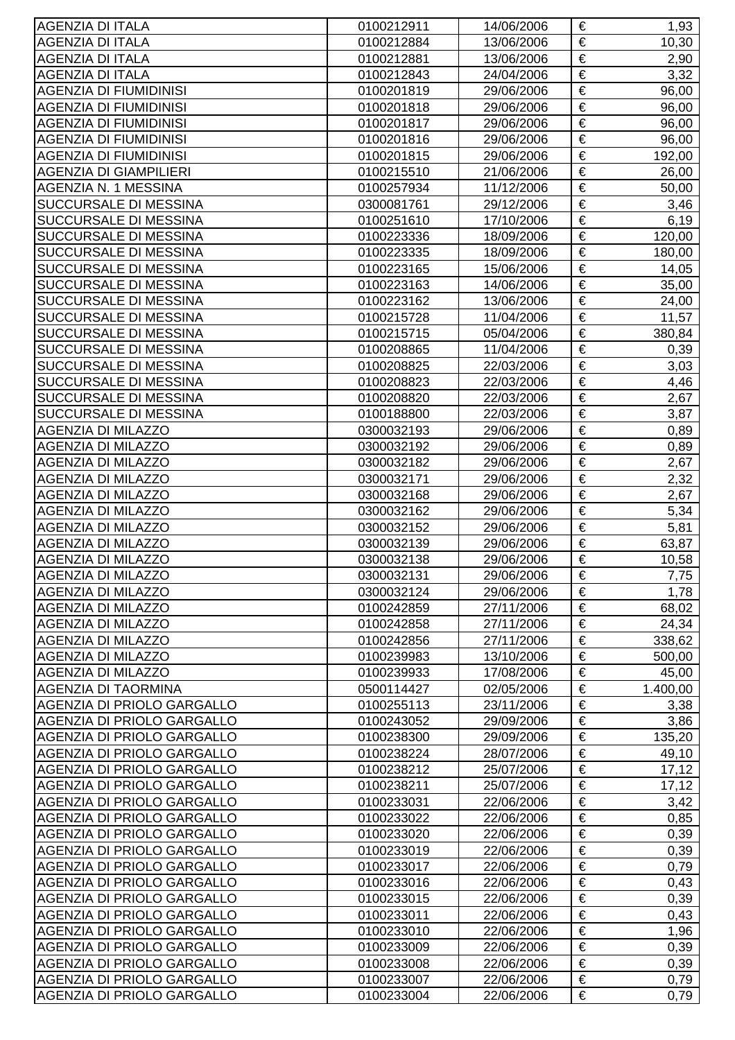| <b>AGENZIA DI ITALA</b>                                  | 0100212911               | 14/06/2006               | €                     | 1,93         |
|----------------------------------------------------------|--------------------------|--------------------------|-----------------------|--------------|
| <b>AGENZIA DI ITALA</b>                                  | 0100212884               | 13/06/2006               | €                     | 10,30        |
| <b>AGENZIA DI ITALA</b>                                  | 0100212881               | 13/06/2006               | €                     | 2,90         |
| <b>AGENZIA DI ITALA</b>                                  | 0100212843               | 24/04/2006               | €                     | 3,32         |
| <b>AGENZIA DI FIUMIDINISI</b>                            | 0100201819               | 29/06/2006               | €                     | 96,00        |
| <b>AGENZIA DI FIUMIDINISI</b>                            | 0100201818               | 29/06/2006               | €                     | 96,00        |
| <b>AGENZIA DI FIUMIDINISI</b>                            | 0100201817               | 29/06/2006               | €                     | 96,00        |
| <b>AGENZIA DI FIUMIDINISI</b>                            | 0100201816               | 29/06/2006               | €                     | 96,00        |
| <b>AGENZIA DI FIUMIDINISI</b>                            | 0100201815               | 29/06/2006               | $\overline{\epsilon}$ | 192,00       |
| <b>AGENZIA DI GIAMPILIERI</b>                            | 0100215510               | 21/06/2006               | €                     | 26,00        |
| AGENZIA N. 1 MESSINA                                     | 0100257934               | 11/12/2006               | €                     | 50,00        |
| SUCCURSALE DI MESSINA                                    | 0300081761               | 29/12/2006               | €                     | 3,46         |
| SUCCURSALE DI MESSINA                                    | 0100251610               | 17/10/2006               | €                     | 6, 19        |
| SUCCURSALE DI MESSINA                                    | 0100223336               | 18/09/2006               | €                     | 120,00       |
| SUCCURSALE DI MESSINA                                    | 0100223335               | 18/09/2006               | €                     | 180,00       |
| SUCCURSALE DI MESSINA                                    | 0100223165               | 15/06/2006               | $\overline{\epsilon}$ | 14,05        |
| SUCCURSALE DI MESSINA                                    | 0100223163               | 14/06/2006               | €                     | 35,00        |
| SUCCURSALE DI MESSINA                                    | 0100223162               | 13/06/2006               | €                     | 24,00        |
| SUCCURSALE DI MESSINA                                    | 0100215728               | 11/04/2006               | €                     | 11,57        |
| SUCCURSALE DI MESSINA                                    | 0100215715               | 05/04/2006               | €                     | 380,84       |
| SUCCURSALE DI MESSINA                                    | 0100208865               | 11/04/2006               | €                     | 0,39         |
| SUCCURSALE DI MESSINA                                    | 0100208825               | 22/03/2006               | €                     | 3,03         |
| SUCCURSALE DI MESSINA                                    | 0100208823               | 22/03/2006               | €                     | 4,46         |
| SUCCURSALE DI MESSINA                                    | 0100208820               | 22/03/2006               | €                     | 2,67         |
| SUCCURSALE DI MESSINA                                    | 0100188800               | 22/03/2006               | €                     | 3,87         |
| <b>AGENZIA DI MILAZZO</b>                                | 0300032193               | 29/06/2006               | €                     | 0,89         |
| <b>AGENZIA DI MILAZZO</b>                                | 0300032192               | 29/06/2006               | $\overline{\epsilon}$ | 0,89         |
| <b>AGENZIA DI MILAZZO</b>                                | 0300032182               | 29/06/2006               | €                     | 2,67         |
| <b>AGENZIA DI MILAZZO</b>                                | 0300032171               | 29/06/2006               | €                     | 2,32         |
| <b>AGENZIA DI MILAZZO</b>                                | 0300032168               | 29/06/2006               | €                     | 2,67         |
| <b>AGENZIA DI MILAZZO</b>                                | 0300032162               | 29/06/2006               | €                     | 5,34         |
| <b>AGENZIA DI MILAZZO</b>                                | 0300032152               | 29/06/2006               | €                     | 5,81         |
| <b>AGENZIA DI MILAZZO</b>                                | 0300032139               | 29/06/2006               | €                     | 63,87        |
| <b>AGENZIA DI MILAZZO</b>                                | 0300032138               | 29/06/2006               | €                     | 10,58        |
| <b>AGENZIA DI MILAZZO</b>                                | 0300032131               | 29/06/2006               | €                     | 7,75         |
| <b>AGENZIA DI MILAZZO</b>                                | 0300032124               | 29/06/2006               | €                     | 1,78         |
| <b>AGENZIA DI MILAZZO</b>                                | 0100242859               | 27/11/2006               | €                     | 68,02        |
| <b>AGENZIA DI MILAZZO</b>                                | 0100242858               | 27/11/2006               | €                     | 24,34        |
| <b>AGENZIA DI MILAZZO</b>                                | 0100242856               | 27/11/2006               | €                     | 338,62       |
| <b>AGENZIA DI MILAZZO</b>                                | 0100239983               | 13/10/2006               | €                     | 500,00       |
| <b>AGENZIA DI MILAZZO</b>                                | 0100239933               | 17/08/2006               | €                     | 45,00        |
| AGENZIA DI TAORMINA                                      | 0500114427               | 02/05/2006               | €                     | 1.400,00     |
| AGENZIA DI PRIOLO GARGALLO                               | 0100255113               | 23/11/2006               | €                     | 3,38         |
| AGENZIA DI PRIOLO GARGALLO                               | 0100243052               | 29/09/2006               | €                     | 3,86         |
| AGENZIA DI PRIOLO GARGALLO                               | 0100238300               | 29/09/2006               | €                     | 135,20       |
| AGENZIA DI PRIOLO GARGALLO                               | 0100238224               | 28/07/2006               | €                     | 49,10        |
| AGENZIA DI PRIOLO GARGALLO                               | 0100238212               | 25/07/2006               | €                     | 17,12        |
| AGENZIA DI PRIOLO GARGALLO                               | 0100238211               | 25/07/2006               | €                     | 17,12        |
| AGENZIA DI PRIOLO GARGALLO                               | 0100233031               | 22/06/2006               | €                     | 3,42         |
| AGENZIA DI PRIOLO GARGALLO                               | 0100233022               | 22/06/2006               | €                     | 0,85         |
| AGENZIA DI PRIOLO GARGALLO                               | 0100233020               | 22/06/2006               | €                     | 0,39         |
| AGENZIA DI PRIOLO GARGALLO                               | 0100233019               | 22/06/2006               | €                     | 0,39         |
| AGENZIA DI PRIOLO GARGALLO                               | 0100233017               | 22/06/2006               | €<br>€                | 0,79         |
| AGENZIA DI PRIOLO GARGALLO                               | 0100233016               | 22/06/2006               | $\in$                 | 0,43         |
| AGENZIA DI PRIOLO GARGALLO                               | 0100233015               | 22/06/2006               | €                     | 0,39         |
| AGENZIA DI PRIOLO GARGALLO                               | 0100233011               | 22/06/2006               | €                     | 0,43         |
| AGENZIA DI PRIOLO GARGALLO<br>AGENZIA DI PRIOLO GARGALLO | 0100233010               | 22/06/2006               | $\in$                 | 1,96         |
| AGENZIA DI PRIOLO GARGALLO                               | 0100233009<br>0100233008 | 22/06/2006<br>22/06/2006 | €                     | 0,39         |
| AGENZIA DI PRIOLO GARGALLO                               | 0100233007               | 22/06/2006               | €                     | 0,39<br>0,79 |
| AGENZIA DI PRIOLO GARGALLO                               | 0100233004               | 22/06/2006               | €                     | 0,79         |
|                                                          |                          |                          |                       |              |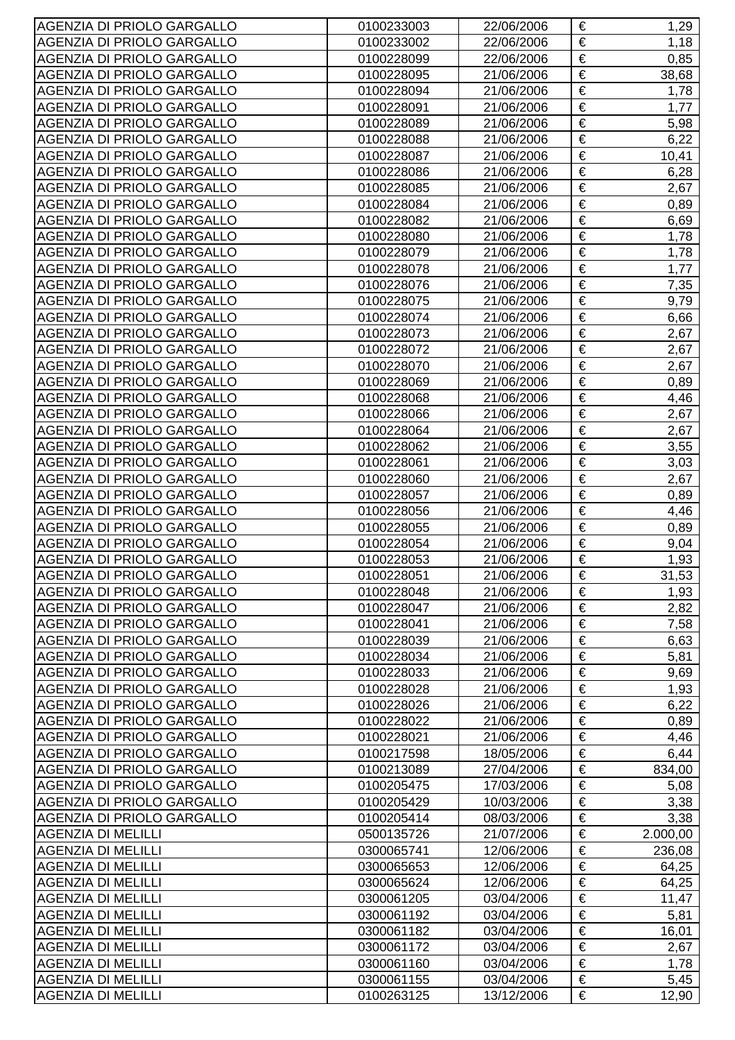| €<br>0100233002<br>22/06/2006<br>1,18<br>€<br>0100228099<br>22/06/2006<br>0,85<br>€<br><b>AGENZIA DI PRIOLO GARGALLO</b><br>21/06/2006<br>38,68<br>0100228095<br>€<br>AGENZIA DI PRIOLO GARGALLO<br>21/06/2006<br>0100228094<br>1,78<br>€<br>AGENZIA DI PRIOLO GARGALLO<br>21/06/2006<br>0100228091<br>1,77<br>$\overline{\epsilon}$<br><b>AGENZIA DI PRIOLO GARGALLO</b><br>5,98<br>0100228089<br>21/06/2006<br>€<br>6,22<br>0100228088<br>21/06/2006<br>€<br>AGENZIA DI PRIOLO GARGALLO<br>0100228087<br>21/06/2006<br>10,41<br>€<br><b>AGENZIA DI PRIOLO GARGALLO</b><br>21/06/2006<br>6,28<br>0100228086<br>€<br>AGENZIA DI PRIOLO GARGALLO<br>0100228085<br>21/06/2006<br>2,67<br>€<br>AGENZIA DI PRIOLO GARGALLO<br>21/06/2006<br>0,89<br>0100228084<br>€<br>0100228082<br>21/06/2006<br>6,69<br>€<br>0100228080<br>21/06/2006<br>1,78<br>€<br>21/06/2006<br>0100228079<br>1,78<br>$\overline{\epsilon}$<br>AGENZIA DI PRIOLO GARGALLO<br>0100228078<br>21/06/2006<br>1,77<br>€<br>AGENZIA DI PRIOLO GARGALLO<br>0100228076<br>21/06/2006<br>7,35<br>$\overline{\epsilon}$<br><b>AGENZIA DI PRIOLO GARGALLO</b><br>9,79<br>0100228075<br>21/06/2006<br>€<br>0100228074<br>21/06/2006<br>6,66<br>€<br><b>AGENZIA DI PRIOLO GARGALLO</b><br>21/06/2006<br>2,67<br>0100228073<br>€<br>21/06/2006<br>2,67<br>0100228072<br>€<br>AGENZIA DI PRIOLO GARGALLO<br>0100228070<br>21/06/2006<br>2,67<br>€<br>AGENZIA DI PRIOLO GARGALLO<br>21/06/2006<br>0,89<br>0100228069<br>€<br>0100228068<br>21/06/2006<br>4,46<br>€<br>AGENZIA DI PRIOLO GARGALLO<br>21/06/2006<br>0100228066<br>2,67<br>€<br>21/06/2006<br>2,67<br>0100228064<br>$\overline{\epsilon}$<br>AGENZIA DI PRIOLO GARGALLO<br>0100228062<br>21/06/2006<br>3,55<br>€<br>AGENZIA DI PRIOLO GARGALLO<br>0100228061<br>21/06/2006<br>3,03<br>€<br><b>AGENZIA DI PRIOLO GARGALLO</b><br>2,67<br>0100228060<br>21/06/2006<br>€<br>0100228057<br>21/06/2006<br>0,89<br>€<br>AGENZIA DI PRIOLO GARGALLO<br>0100228056<br>21/06/2006<br>4,46<br>€<br><b>AGENZIA DI PRIOLO GARGALLO</b><br>0100228055<br>21/06/2006<br>0,89<br>€<br>AGENZIA DI PRIOLO GARGALLO<br>0100228054<br>21/06/2006<br>9,04<br>€<br>AGENZIA DI PRIOLO GARGALLO<br>0100228053<br>21/06/2006<br>1,93<br>0100228051<br>21/06/2006<br>31,53<br>€<br>€<br>AGENZIA DI PRIOLO GARGALLO<br>0100228048<br>21/06/2006<br>1,93<br>€<br>AGENZIA DI PRIOLO GARGALLO<br>2,82<br>21/06/2006<br>0100228047<br>€<br>AGENZIA DI PRIOLO GARGALLO<br>0100228041<br>21/06/2006<br>7,58<br>€<br>AGENZIA DI PRIOLO GARGALLO<br>0100228039<br>21/06/2006<br>6,63<br>€<br>5,81<br>AGENZIA DI PRIOLO GARGALLO<br>21/06/2006<br>0100228034<br>€<br>AGENZIA DI PRIOLO GARGALLO<br>0100228033<br>21/06/2006<br>9,69<br>€<br>AGENZIA DI PRIOLO GARGALLO<br>1,93<br>0100228028<br>21/06/2006<br>€<br>AGENZIA DI PRIOLO GARGALLO<br>21/06/2006<br>6,22<br>0100228026<br>€<br>0,89<br>AGENZIA DI PRIOLO GARGALLO<br>21/06/2006<br>0100228022<br>€<br>AGENZIA DI PRIOLO GARGALLO<br>0100228021<br>21/06/2006<br>4,46<br>€<br>AGENZIA DI PRIOLO GARGALLO<br>18/05/2006<br>0100217598<br>6,44<br>€<br>AGENZIA DI PRIOLO GARGALLO<br>0100213089<br>27/04/2006<br>834,00<br>€<br>AGENZIA DI PRIOLO GARGALLO<br>17/03/2006<br>5,08<br>0100205475<br>€<br>AGENZIA DI PRIOLO GARGALLO<br>0100205429<br>10/03/2006<br>3,38<br>€<br>AGENZIA DI PRIOLO GARGALLO<br>0100205414<br>08/03/2006<br>3,38<br>€<br>2.000,00<br><b>AGENZIA DI MELILLI</b><br>0500135726<br>21/07/2006<br>€<br><b>AGENZIA DI MELILLI</b><br>236,08<br>0300065741<br>12/06/2006<br>€<br><b>AGENZIA DI MELILLI</b><br>0300065653<br>12/06/2006<br>64,25<br>$\overline{\epsilon}$<br><b>AGENZIA DI MELILLI</b><br>12/06/2006<br>64,25<br>0300065624<br>€<br><b>AGENZIA DI MELILLI</b><br>0300061205<br>03/04/2006<br>11,47<br>€<br><b>AGENZIA DI MELILLI</b><br>03/04/2006<br>0300061192<br>5,81<br>€<br><b>AGENZIA DI MELILLI</b><br>0300061182<br>03/04/2006<br>16,01<br>€<br><b>AGENZIA DI MELILLI</b><br>0300061172<br>03/04/2006<br>2,67<br>€<br><b>AGENZIA DI MELILLI</b><br>0300061160<br>03/04/2006<br>1,78<br>€<br><b>AGENZIA DI MELILLI</b><br>0300061155<br>03/04/2006<br>5,45<br>€<br><b>AGENZIA DI MELILLI</b><br>13/12/2006<br>0100263125<br>12,90 | AGENZIA DI PRIOLO GARGALLO | 0100233003 | 22/06/2006 | € | 1,29 |
|--------------------------------------------------------------------------------------------------------------------------------------------------------------------------------------------------------------------------------------------------------------------------------------------------------------------------------------------------------------------------------------------------------------------------------------------------------------------------------------------------------------------------------------------------------------------------------------------------------------------------------------------------------------------------------------------------------------------------------------------------------------------------------------------------------------------------------------------------------------------------------------------------------------------------------------------------------------------------------------------------------------------------------------------------------------------------------------------------------------------------------------------------------------------------------------------------------------------------------------------------------------------------------------------------------------------------------------------------------------------------------------------------------------------------------------------------------------------------------------------------------------------------------------------------------------------------------------------------------------------------------------------------------------------------------------------------------------------------------------------------------------------------------------------------------------------------------------------------------------------------------------------------------------------------------------------------------------------------------------------------------------------------------------------------------------------------------------------------------------------------------------------------------------------------------------------------------------------------------------------------------------------------------------------------------------------------------------------------------------------------------------------------------------------------------------------------------------------------------------------------------------------------------------------------------------------------------------------------------------------------------------------------------------------------------------------------------------------------------------------------------------------------------------------------------------------------------------------------------------------------------------------------------------------------------------------------------------------------------------------------------------------------------------------------------------------------------------------------------------------------------------------------------------------------------------------------------------------------------------------------------------------------------------------------------------------------------------------------------------------------------------------------------------------------------------------------------------------------------------------------------------------------------------------------------------------------------------------------------------------------------------------------------------------------------------------------------------------------------------------------------------------------------------------------------------------------------------------------------------------------------------------------------------------------------------------------------------------------------------------------------------------------------------------------------------------------------------------------------------------------------------------------------------------------------------------------------------------|----------------------------|------------|------------|---|------|
|                                                                                                                                                                                                                                                                                                                                                                                                                                                                                                                                                                                                                                                                                                                                                                                                                                                                                                                                                                                                                                                                                                                                                                                                                                                                                                                                                                                                                                                                                                                                                                                                                                                                                                                                                                                                                                                                                                                                                                                                                                                                                                                                                                                                                                                                                                                                                                                                                                                                                                                                                                                                                                                                                                                                                                                                                                                                                                                                                                                                                                                                                                                                                                                                                                                                                                                                                                                                                                                                                                                                                                                                                                                                                                                                                                                                                                                                                                                                                                                                                                                                                                                                                                                                                    | AGENZIA DI PRIOLO GARGALLO |            |            |   |      |
|                                                                                                                                                                                                                                                                                                                                                                                                                                                                                                                                                                                                                                                                                                                                                                                                                                                                                                                                                                                                                                                                                                                                                                                                                                                                                                                                                                                                                                                                                                                                                                                                                                                                                                                                                                                                                                                                                                                                                                                                                                                                                                                                                                                                                                                                                                                                                                                                                                                                                                                                                                                                                                                                                                                                                                                                                                                                                                                                                                                                                                                                                                                                                                                                                                                                                                                                                                                                                                                                                                                                                                                                                                                                                                                                                                                                                                                                                                                                                                                                                                                                                                                                                                                                                    | AGENZIA DI PRIOLO GARGALLO |            |            |   |      |
|                                                                                                                                                                                                                                                                                                                                                                                                                                                                                                                                                                                                                                                                                                                                                                                                                                                                                                                                                                                                                                                                                                                                                                                                                                                                                                                                                                                                                                                                                                                                                                                                                                                                                                                                                                                                                                                                                                                                                                                                                                                                                                                                                                                                                                                                                                                                                                                                                                                                                                                                                                                                                                                                                                                                                                                                                                                                                                                                                                                                                                                                                                                                                                                                                                                                                                                                                                                                                                                                                                                                                                                                                                                                                                                                                                                                                                                                                                                                                                                                                                                                                                                                                                                                                    |                            |            |            |   |      |
|                                                                                                                                                                                                                                                                                                                                                                                                                                                                                                                                                                                                                                                                                                                                                                                                                                                                                                                                                                                                                                                                                                                                                                                                                                                                                                                                                                                                                                                                                                                                                                                                                                                                                                                                                                                                                                                                                                                                                                                                                                                                                                                                                                                                                                                                                                                                                                                                                                                                                                                                                                                                                                                                                                                                                                                                                                                                                                                                                                                                                                                                                                                                                                                                                                                                                                                                                                                                                                                                                                                                                                                                                                                                                                                                                                                                                                                                                                                                                                                                                                                                                                                                                                                                                    |                            |            |            |   |      |
|                                                                                                                                                                                                                                                                                                                                                                                                                                                                                                                                                                                                                                                                                                                                                                                                                                                                                                                                                                                                                                                                                                                                                                                                                                                                                                                                                                                                                                                                                                                                                                                                                                                                                                                                                                                                                                                                                                                                                                                                                                                                                                                                                                                                                                                                                                                                                                                                                                                                                                                                                                                                                                                                                                                                                                                                                                                                                                                                                                                                                                                                                                                                                                                                                                                                                                                                                                                                                                                                                                                                                                                                                                                                                                                                                                                                                                                                                                                                                                                                                                                                                                                                                                                                                    |                            |            |            |   |      |
|                                                                                                                                                                                                                                                                                                                                                                                                                                                                                                                                                                                                                                                                                                                                                                                                                                                                                                                                                                                                                                                                                                                                                                                                                                                                                                                                                                                                                                                                                                                                                                                                                                                                                                                                                                                                                                                                                                                                                                                                                                                                                                                                                                                                                                                                                                                                                                                                                                                                                                                                                                                                                                                                                                                                                                                                                                                                                                                                                                                                                                                                                                                                                                                                                                                                                                                                                                                                                                                                                                                                                                                                                                                                                                                                                                                                                                                                                                                                                                                                                                                                                                                                                                                                                    |                            |            |            |   |      |
|                                                                                                                                                                                                                                                                                                                                                                                                                                                                                                                                                                                                                                                                                                                                                                                                                                                                                                                                                                                                                                                                                                                                                                                                                                                                                                                                                                                                                                                                                                                                                                                                                                                                                                                                                                                                                                                                                                                                                                                                                                                                                                                                                                                                                                                                                                                                                                                                                                                                                                                                                                                                                                                                                                                                                                                                                                                                                                                                                                                                                                                                                                                                                                                                                                                                                                                                                                                                                                                                                                                                                                                                                                                                                                                                                                                                                                                                                                                                                                                                                                                                                                                                                                                                                    | AGENZIA DI PRIOLO GARGALLO |            |            |   |      |
|                                                                                                                                                                                                                                                                                                                                                                                                                                                                                                                                                                                                                                                                                                                                                                                                                                                                                                                                                                                                                                                                                                                                                                                                                                                                                                                                                                                                                                                                                                                                                                                                                                                                                                                                                                                                                                                                                                                                                                                                                                                                                                                                                                                                                                                                                                                                                                                                                                                                                                                                                                                                                                                                                                                                                                                                                                                                                                                                                                                                                                                                                                                                                                                                                                                                                                                                                                                                                                                                                                                                                                                                                                                                                                                                                                                                                                                                                                                                                                                                                                                                                                                                                                                                                    |                            |            |            |   |      |
|                                                                                                                                                                                                                                                                                                                                                                                                                                                                                                                                                                                                                                                                                                                                                                                                                                                                                                                                                                                                                                                                                                                                                                                                                                                                                                                                                                                                                                                                                                                                                                                                                                                                                                                                                                                                                                                                                                                                                                                                                                                                                                                                                                                                                                                                                                                                                                                                                                                                                                                                                                                                                                                                                                                                                                                                                                                                                                                                                                                                                                                                                                                                                                                                                                                                                                                                                                                                                                                                                                                                                                                                                                                                                                                                                                                                                                                                                                                                                                                                                                                                                                                                                                                                                    |                            |            |            |   |      |
|                                                                                                                                                                                                                                                                                                                                                                                                                                                                                                                                                                                                                                                                                                                                                                                                                                                                                                                                                                                                                                                                                                                                                                                                                                                                                                                                                                                                                                                                                                                                                                                                                                                                                                                                                                                                                                                                                                                                                                                                                                                                                                                                                                                                                                                                                                                                                                                                                                                                                                                                                                                                                                                                                                                                                                                                                                                                                                                                                                                                                                                                                                                                                                                                                                                                                                                                                                                                                                                                                                                                                                                                                                                                                                                                                                                                                                                                                                                                                                                                                                                                                                                                                                                                                    |                            |            |            |   |      |
|                                                                                                                                                                                                                                                                                                                                                                                                                                                                                                                                                                                                                                                                                                                                                                                                                                                                                                                                                                                                                                                                                                                                                                                                                                                                                                                                                                                                                                                                                                                                                                                                                                                                                                                                                                                                                                                                                                                                                                                                                                                                                                                                                                                                                                                                                                                                                                                                                                                                                                                                                                                                                                                                                                                                                                                                                                                                                                                                                                                                                                                                                                                                                                                                                                                                                                                                                                                                                                                                                                                                                                                                                                                                                                                                                                                                                                                                                                                                                                                                                                                                                                                                                                                                                    |                            |            |            |   |      |
|                                                                                                                                                                                                                                                                                                                                                                                                                                                                                                                                                                                                                                                                                                                                                                                                                                                                                                                                                                                                                                                                                                                                                                                                                                                                                                                                                                                                                                                                                                                                                                                                                                                                                                                                                                                                                                                                                                                                                                                                                                                                                                                                                                                                                                                                                                                                                                                                                                                                                                                                                                                                                                                                                                                                                                                                                                                                                                                                                                                                                                                                                                                                                                                                                                                                                                                                                                                                                                                                                                                                                                                                                                                                                                                                                                                                                                                                                                                                                                                                                                                                                                                                                                                                                    | AGENZIA DI PRIOLO GARGALLO |            |            |   |      |
|                                                                                                                                                                                                                                                                                                                                                                                                                                                                                                                                                                                                                                                                                                                                                                                                                                                                                                                                                                                                                                                                                                                                                                                                                                                                                                                                                                                                                                                                                                                                                                                                                                                                                                                                                                                                                                                                                                                                                                                                                                                                                                                                                                                                                                                                                                                                                                                                                                                                                                                                                                                                                                                                                                                                                                                                                                                                                                                                                                                                                                                                                                                                                                                                                                                                                                                                                                                                                                                                                                                                                                                                                                                                                                                                                                                                                                                                                                                                                                                                                                                                                                                                                                                                                    | AGENZIA DI PRIOLO GARGALLO |            |            |   |      |
|                                                                                                                                                                                                                                                                                                                                                                                                                                                                                                                                                                                                                                                                                                                                                                                                                                                                                                                                                                                                                                                                                                                                                                                                                                                                                                                                                                                                                                                                                                                                                                                                                                                                                                                                                                                                                                                                                                                                                                                                                                                                                                                                                                                                                                                                                                                                                                                                                                                                                                                                                                                                                                                                                                                                                                                                                                                                                                                                                                                                                                                                                                                                                                                                                                                                                                                                                                                                                                                                                                                                                                                                                                                                                                                                                                                                                                                                                                                                                                                                                                                                                                                                                                                                                    | AGENZIA DI PRIOLO GARGALLO |            |            |   |      |
|                                                                                                                                                                                                                                                                                                                                                                                                                                                                                                                                                                                                                                                                                                                                                                                                                                                                                                                                                                                                                                                                                                                                                                                                                                                                                                                                                                                                                                                                                                                                                                                                                                                                                                                                                                                                                                                                                                                                                                                                                                                                                                                                                                                                                                                                                                                                                                                                                                                                                                                                                                                                                                                                                                                                                                                                                                                                                                                                                                                                                                                                                                                                                                                                                                                                                                                                                                                                                                                                                                                                                                                                                                                                                                                                                                                                                                                                                                                                                                                                                                                                                                                                                                                                                    |                            |            |            |   |      |
|                                                                                                                                                                                                                                                                                                                                                                                                                                                                                                                                                                                                                                                                                                                                                                                                                                                                                                                                                                                                                                                                                                                                                                                                                                                                                                                                                                                                                                                                                                                                                                                                                                                                                                                                                                                                                                                                                                                                                                                                                                                                                                                                                                                                                                                                                                                                                                                                                                                                                                                                                                                                                                                                                                                                                                                                                                                                                                                                                                                                                                                                                                                                                                                                                                                                                                                                                                                                                                                                                                                                                                                                                                                                                                                                                                                                                                                                                                                                                                                                                                                                                                                                                                                                                    |                            |            |            |   |      |
|                                                                                                                                                                                                                                                                                                                                                                                                                                                                                                                                                                                                                                                                                                                                                                                                                                                                                                                                                                                                                                                                                                                                                                                                                                                                                                                                                                                                                                                                                                                                                                                                                                                                                                                                                                                                                                                                                                                                                                                                                                                                                                                                                                                                                                                                                                                                                                                                                                                                                                                                                                                                                                                                                                                                                                                                                                                                                                                                                                                                                                                                                                                                                                                                                                                                                                                                                                                                                                                                                                                                                                                                                                                                                                                                                                                                                                                                                                                                                                                                                                                                                                                                                                                                                    |                            |            |            |   |      |
|                                                                                                                                                                                                                                                                                                                                                                                                                                                                                                                                                                                                                                                                                                                                                                                                                                                                                                                                                                                                                                                                                                                                                                                                                                                                                                                                                                                                                                                                                                                                                                                                                                                                                                                                                                                                                                                                                                                                                                                                                                                                                                                                                                                                                                                                                                                                                                                                                                                                                                                                                                                                                                                                                                                                                                                                                                                                                                                                                                                                                                                                                                                                                                                                                                                                                                                                                                                                                                                                                                                                                                                                                                                                                                                                                                                                                                                                                                                                                                                                                                                                                                                                                                                                                    | AGENZIA DI PRIOLO GARGALLO |            |            |   |      |
|                                                                                                                                                                                                                                                                                                                                                                                                                                                                                                                                                                                                                                                                                                                                                                                                                                                                                                                                                                                                                                                                                                                                                                                                                                                                                                                                                                                                                                                                                                                                                                                                                                                                                                                                                                                                                                                                                                                                                                                                                                                                                                                                                                                                                                                                                                                                                                                                                                                                                                                                                                                                                                                                                                                                                                                                                                                                                                                                                                                                                                                                                                                                                                                                                                                                                                                                                                                                                                                                                                                                                                                                                                                                                                                                                                                                                                                                                                                                                                                                                                                                                                                                                                                                                    |                            |            |            |   |      |
|                                                                                                                                                                                                                                                                                                                                                                                                                                                                                                                                                                                                                                                                                                                                                                                                                                                                                                                                                                                                                                                                                                                                                                                                                                                                                                                                                                                                                                                                                                                                                                                                                                                                                                                                                                                                                                                                                                                                                                                                                                                                                                                                                                                                                                                                                                                                                                                                                                                                                                                                                                                                                                                                                                                                                                                                                                                                                                                                                                                                                                                                                                                                                                                                                                                                                                                                                                                                                                                                                                                                                                                                                                                                                                                                                                                                                                                                                                                                                                                                                                                                                                                                                                                                                    | AGENZIA DI PRIOLO GARGALLO |            |            |   |      |
|                                                                                                                                                                                                                                                                                                                                                                                                                                                                                                                                                                                                                                                                                                                                                                                                                                                                                                                                                                                                                                                                                                                                                                                                                                                                                                                                                                                                                                                                                                                                                                                                                                                                                                                                                                                                                                                                                                                                                                                                                                                                                                                                                                                                                                                                                                                                                                                                                                                                                                                                                                                                                                                                                                                                                                                                                                                                                                                                                                                                                                                                                                                                                                                                                                                                                                                                                                                                                                                                                                                                                                                                                                                                                                                                                                                                                                                                                                                                                                                                                                                                                                                                                                                                                    |                            |            |            |   |      |
|                                                                                                                                                                                                                                                                                                                                                                                                                                                                                                                                                                                                                                                                                                                                                                                                                                                                                                                                                                                                                                                                                                                                                                                                                                                                                                                                                                                                                                                                                                                                                                                                                                                                                                                                                                                                                                                                                                                                                                                                                                                                                                                                                                                                                                                                                                                                                                                                                                                                                                                                                                                                                                                                                                                                                                                                                                                                                                                                                                                                                                                                                                                                                                                                                                                                                                                                                                                                                                                                                                                                                                                                                                                                                                                                                                                                                                                                                                                                                                                                                                                                                                                                                                                                                    |                            |            |            |   |      |
|                                                                                                                                                                                                                                                                                                                                                                                                                                                                                                                                                                                                                                                                                                                                                                                                                                                                                                                                                                                                                                                                                                                                                                                                                                                                                                                                                                                                                                                                                                                                                                                                                                                                                                                                                                                                                                                                                                                                                                                                                                                                                                                                                                                                                                                                                                                                                                                                                                                                                                                                                                                                                                                                                                                                                                                                                                                                                                                                                                                                                                                                                                                                                                                                                                                                                                                                                                                                                                                                                                                                                                                                                                                                                                                                                                                                                                                                                                                                                                                                                                                                                                                                                                                                                    | AGENZIA DI PRIOLO GARGALLO |            |            |   |      |
|                                                                                                                                                                                                                                                                                                                                                                                                                                                                                                                                                                                                                                                                                                                                                                                                                                                                                                                                                                                                                                                                                                                                                                                                                                                                                                                                                                                                                                                                                                                                                                                                                                                                                                                                                                                                                                                                                                                                                                                                                                                                                                                                                                                                                                                                                                                                                                                                                                                                                                                                                                                                                                                                                                                                                                                                                                                                                                                                                                                                                                                                                                                                                                                                                                                                                                                                                                                                                                                                                                                                                                                                                                                                                                                                                                                                                                                                                                                                                                                                                                                                                                                                                                                                                    |                            |            |            |   |      |
|                                                                                                                                                                                                                                                                                                                                                                                                                                                                                                                                                                                                                                                                                                                                                                                                                                                                                                                                                                                                                                                                                                                                                                                                                                                                                                                                                                                                                                                                                                                                                                                                                                                                                                                                                                                                                                                                                                                                                                                                                                                                                                                                                                                                                                                                                                                                                                                                                                                                                                                                                                                                                                                                                                                                                                                                                                                                                                                                                                                                                                                                                                                                                                                                                                                                                                                                                                                                                                                                                                                                                                                                                                                                                                                                                                                                                                                                                                                                                                                                                                                                                                                                                                                                                    | AGENZIA DI PRIOLO GARGALLO |            |            |   |      |
|                                                                                                                                                                                                                                                                                                                                                                                                                                                                                                                                                                                                                                                                                                                                                                                                                                                                                                                                                                                                                                                                                                                                                                                                                                                                                                                                                                                                                                                                                                                                                                                                                                                                                                                                                                                                                                                                                                                                                                                                                                                                                                                                                                                                                                                                                                                                                                                                                                                                                                                                                                                                                                                                                                                                                                                                                                                                                                                                                                                                                                                                                                                                                                                                                                                                                                                                                                                                                                                                                                                                                                                                                                                                                                                                                                                                                                                                                                                                                                                                                                                                                                                                                                                                                    |                            |            |            |   |      |
|                                                                                                                                                                                                                                                                                                                                                                                                                                                                                                                                                                                                                                                                                                                                                                                                                                                                                                                                                                                                                                                                                                                                                                                                                                                                                                                                                                                                                                                                                                                                                                                                                                                                                                                                                                                                                                                                                                                                                                                                                                                                                                                                                                                                                                                                                                                                                                                                                                                                                                                                                                                                                                                                                                                                                                                                                                                                                                                                                                                                                                                                                                                                                                                                                                                                                                                                                                                                                                                                                                                                                                                                                                                                                                                                                                                                                                                                                                                                                                                                                                                                                                                                                                                                                    |                            |            |            |   |      |
|                                                                                                                                                                                                                                                                                                                                                                                                                                                                                                                                                                                                                                                                                                                                                                                                                                                                                                                                                                                                                                                                                                                                                                                                                                                                                                                                                                                                                                                                                                                                                                                                                                                                                                                                                                                                                                                                                                                                                                                                                                                                                                                                                                                                                                                                                                                                                                                                                                                                                                                                                                                                                                                                                                                                                                                                                                                                                                                                                                                                                                                                                                                                                                                                                                                                                                                                                                                                                                                                                                                                                                                                                                                                                                                                                                                                                                                                                                                                                                                                                                                                                                                                                                                                                    |                            |            |            |   |      |
|                                                                                                                                                                                                                                                                                                                                                                                                                                                                                                                                                                                                                                                                                                                                                                                                                                                                                                                                                                                                                                                                                                                                                                                                                                                                                                                                                                                                                                                                                                                                                                                                                                                                                                                                                                                                                                                                                                                                                                                                                                                                                                                                                                                                                                                                                                                                                                                                                                                                                                                                                                                                                                                                                                                                                                                                                                                                                                                                                                                                                                                                                                                                                                                                                                                                                                                                                                                                                                                                                                                                                                                                                                                                                                                                                                                                                                                                                                                                                                                                                                                                                                                                                                                                                    | AGENZIA DI PRIOLO GARGALLO |            |            |   |      |
|                                                                                                                                                                                                                                                                                                                                                                                                                                                                                                                                                                                                                                                                                                                                                                                                                                                                                                                                                                                                                                                                                                                                                                                                                                                                                                                                                                                                                                                                                                                                                                                                                                                                                                                                                                                                                                                                                                                                                                                                                                                                                                                                                                                                                                                                                                                                                                                                                                                                                                                                                                                                                                                                                                                                                                                                                                                                                                                                                                                                                                                                                                                                                                                                                                                                                                                                                                                                                                                                                                                                                                                                                                                                                                                                                                                                                                                                                                                                                                                                                                                                                                                                                                                                                    |                            |            |            |   |      |
|                                                                                                                                                                                                                                                                                                                                                                                                                                                                                                                                                                                                                                                                                                                                                                                                                                                                                                                                                                                                                                                                                                                                                                                                                                                                                                                                                                                                                                                                                                                                                                                                                                                                                                                                                                                                                                                                                                                                                                                                                                                                                                                                                                                                                                                                                                                                                                                                                                                                                                                                                                                                                                                                                                                                                                                                                                                                                                                                                                                                                                                                                                                                                                                                                                                                                                                                                                                                                                                                                                                                                                                                                                                                                                                                                                                                                                                                                                                                                                                                                                                                                                                                                                                                                    |                            |            |            |   |      |
|                                                                                                                                                                                                                                                                                                                                                                                                                                                                                                                                                                                                                                                                                                                                                                                                                                                                                                                                                                                                                                                                                                                                                                                                                                                                                                                                                                                                                                                                                                                                                                                                                                                                                                                                                                                                                                                                                                                                                                                                                                                                                                                                                                                                                                                                                                                                                                                                                                                                                                                                                                                                                                                                                                                                                                                                                                                                                                                                                                                                                                                                                                                                                                                                                                                                                                                                                                                                                                                                                                                                                                                                                                                                                                                                                                                                                                                                                                                                                                                                                                                                                                                                                                                                                    |                            |            |            |   |      |
|                                                                                                                                                                                                                                                                                                                                                                                                                                                                                                                                                                                                                                                                                                                                                                                                                                                                                                                                                                                                                                                                                                                                                                                                                                                                                                                                                                                                                                                                                                                                                                                                                                                                                                                                                                                                                                                                                                                                                                                                                                                                                                                                                                                                                                                                                                                                                                                                                                                                                                                                                                                                                                                                                                                                                                                                                                                                                                                                                                                                                                                                                                                                                                                                                                                                                                                                                                                                                                                                                                                                                                                                                                                                                                                                                                                                                                                                                                                                                                                                                                                                                                                                                                                                                    |                            |            |            |   |      |
|                                                                                                                                                                                                                                                                                                                                                                                                                                                                                                                                                                                                                                                                                                                                                                                                                                                                                                                                                                                                                                                                                                                                                                                                                                                                                                                                                                                                                                                                                                                                                                                                                                                                                                                                                                                                                                                                                                                                                                                                                                                                                                                                                                                                                                                                                                                                                                                                                                                                                                                                                                                                                                                                                                                                                                                                                                                                                                                                                                                                                                                                                                                                                                                                                                                                                                                                                                                                                                                                                                                                                                                                                                                                                                                                                                                                                                                                                                                                                                                                                                                                                                                                                                                                                    | AGENZIA DI PRIOLO GARGALLO |            |            |   |      |
|                                                                                                                                                                                                                                                                                                                                                                                                                                                                                                                                                                                                                                                                                                                                                                                                                                                                                                                                                                                                                                                                                                                                                                                                                                                                                                                                                                                                                                                                                                                                                                                                                                                                                                                                                                                                                                                                                                                                                                                                                                                                                                                                                                                                                                                                                                                                                                                                                                                                                                                                                                                                                                                                                                                                                                                                                                                                                                                                                                                                                                                                                                                                                                                                                                                                                                                                                                                                                                                                                                                                                                                                                                                                                                                                                                                                                                                                                                                                                                                                                                                                                                                                                                                                                    |                            |            |            |   |      |
|                                                                                                                                                                                                                                                                                                                                                                                                                                                                                                                                                                                                                                                                                                                                                                                                                                                                                                                                                                                                                                                                                                                                                                                                                                                                                                                                                                                                                                                                                                                                                                                                                                                                                                                                                                                                                                                                                                                                                                                                                                                                                                                                                                                                                                                                                                                                                                                                                                                                                                                                                                                                                                                                                                                                                                                                                                                                                                                                                                                                                                                                                                                                                                                                                                                                                                                                                                                                                                                                                                                                                                                                                                                                                                                                                                                                                                                                                                                                                                                                                                                                                                                                                                                                                    |                            |            |            |   |      |
|                                                                                                                                                                                                                                                                                                                                                                                                                                                                                                                                                                                                                                                                                                                                                                                                                                                                                                                                                                                                                                                                                                                                                                                                                                                                                                                                                                                                                                                                                                                                                                                                                                                                                                                                                                                                                                                                                                                                                                                                                                                                                                                                                                                                                                                                                                                                                                                                                                                                                                                                                                                                                                                                                                                                                                                                                                                                                                                                                                                                                                                                                                                                                                                                                                                                                                                                                                                                                                                                                                                                                                                                                                                                                                                                                                                                                                                                                                                                                                                                                                                                                                                                                                                                                    |                            |            |            |   |      |
|                                                                                                                                                                                                                                                                                                                                                                                                                                                                                                                                                                                                                                                                                                                                                                                                                                                                                                                                                                                                                                                                                                                                                                                                                                                                                                                                                                                                                                                                                                                                                                                                                                                                                                                                                                                                                                                                                                                                                                                                                                                                                                                                                                                                                                                                                                                                                                                                                                                                                                                                                                                                                                                                                                                                                                                                                                                                                                                                                                                                                                                                                                                                                                                                                                                                                                                                                                                                                                                                                                                                                                                                                                                                                                                                                                                                                                                                                                                                                                                                                                                                                                                                                                                                                    |                            |            |            |   |      |
|                                                                                                                                                                                                                                                                                                                                                                                                                                                                                                                                                                                                                                                                                                                                                                                                                                                                                                                                                                                                                                                                                                                                                                                                                                                                                                                                                                                                                                                                                                                                                                                                                                                                                                                                                                                                                                                                                                                                                                                                                                                                                                                                                                                                                                                                                                                                                                                                                                                                                                                                                                                                                                                                                                                                                                                                                                                                                                                                                                                                                                                                                                                                                                                                                                                                                                                                                                                                                                                                                                                                                                                                                                                                                                                                                                                                                                                                                                                                                                                                                                                                                                                                                                                                                    |                            |            |            |   |      |
|                                                                                                                                                                                                                                                                                                                                                                                                                                                                                                                                                                                                                                                                                                                                                                                                                                                                                                                                                                                                                                                                                                                                                                                                                                                                                                                                                                                                                                                                                                                                                                                                                                                                                                                                                                                                                                                                                                                                                                                                                                                                                                                                                                                                                                                                                                                                                                                                                                                                                                                                                                                                                                                                                                                                                                                                                                                                                                                                                                                                                                                                                                                                                                                                                                                                                                                                                                                                                                                                                                                                                                                                                                                                                                                                                                                                                                                                                                                                                                                                                                                                                                                                                                                                                    |                            |            |            |   |      |
|                                                                                                                                                                                                                                                                                                                                                                                                                                                                                                                                                                                                                                                                                                                                                                                                                                                                                                                                                                                                                                                                                                                                                                                                                                                                                                                                                                                                                                                                                                                                                                                                                                                                                                                                                                                                                                                                                                                                                                                                                                                                                                                                                                                                                                                                                                                                                                                                                                                                                                                                                                                                                                                                                                                                                                                                                                                                                                                                                                                                                                                                                                                                                                                                                                                                                                                                                                                                                                                                                                                                                                                                                                                                                                                                                                                                                                                                                                                                                                                                                                                                                                                                                                                                                    |                            |            |            |   |      |
|                                                                                                                                                                                                                                                                                                                                                                                                                                                                                                                                                                                                                                                                                                                                                                                                                                                                                                                                                                                                                                                                                                                                                                                                                                                                                                                                                                                                                                                                                                                                                                                                                                                                                                                                                                                                                                                                                                                                                                                                                                                                                                                                                                                                                                                                                                                                                                                                                                                                                                                                                                                                                                                                                                                                                                                                                                                                                                                                                                                                                                                                                                                                                                                                                                                                                                                                                                                                                                                                                                                                                                                                                                                                                                                                                                                                                                                                                                                                                                                                                                                                                                                                                                                                                    |                            |            |            |   |      |
|                                                                                                                                                                                                                                                                                                                                                                                                                                                                                                                                                                                                                                                                                                                                                                                                                                                                                                                                                                                                                                                                                                                                                                                                                                                                                                                                                                                                                                                                                                                                                                                                                                                                                                                                                                                                                                                                                                                                                                                                                                                                                                                                                                                                                                                                                                                                                                                                                                                                                                                                                                                                                                                                                                                                                                                                                                                                                                                                                                                                                                                                                                                                                                                                                                                                                                                                                                                                                                                                                                                                                                                                                                                                                                                                                                                                                                                                                                                                                                                                                                                                                                                                                                                                                    |                            |            |            |   |      |
|                                                                                                                                                                                                                                                                                                                                                                                                                                                                                                                                                                                                                                                                                                                                                                                                                                                                                                                                                                                                                                                                                                                                                                                                                                                                                                                                                                                                                                                                                                                                                                                                                                                                                                                                                                                                                                                                                                                                                                                                                                                                                                                                                                                                                                                                                                                                                                                                                                                                                                                                                                                                                                                                                                                                                                                                                                                                                                                                                                                                                                                                                                                                                                                                                                                                                                                                                                                                                                                                                                                                                                                                                                                                                                                                                                                                                                                                                                                                                                                                                                                                                                                                                                                                                    |                            |            |            |   |      |
|                                                                                                                                                                                                                                                                                                                                                                                                                                                                                                                                                                                                                                                                                                                                                                                                                                                                                                                                                                                                                                                                                                                                                                                                                                                                                                                                                                                                                                                                                                                                                                                                                                                                                                                                                                                                                                                                                                                                                                                                                                                                                                                                                                                                                                                                                                                                                                                                                                                                                                                                                                                                                                                                                                                                                                                                                                                                                                                                                                                                                                                                                                                                                                                                                                                                                                                                                                                                                                                                                                                                                                                                                                                                                                                                                                                                                                                                                                                                                                                                                                                                                                                                                                                                                    |                            |            |            |   |      |
|                                                                                                                                                                                                                                                                                                                                                                                                                                                                                                                                                                                                                                                                                                                                                                                                                                                                                                                                                                                                                                                                                                                                                                                                                                                                                                                                                                                                                                                                                                                                                                                                                                                                                                                                                                                                                                                                                                                                                                                                                                                                                                                                                                                                                                                                                                                                                                                                                                                                                                                                                                                                                                                                                                                                                                                                                                                                                                                                                                                                                                                                                                                                                                                                                                                                                                                                                                                                                                                                                                                                                                                                                                                                                                                                                                                                                                                                                                                                                                                                                                                                                                                                                                                                                    |                            |            |            |   |      |
|                                                                                                                                                                                                                                                                                                                                                                                                                                                                                                                                                                                                                                                                                                                                                                                                                                                                                                                                                                                                                                                                                                                                                                                                                                                                                                                                                                                                                                                                                                                                                                                                                                                                                                                                                                                                                                                                                                                                                                                                                                                                                                                                                                                                                                                                                                                                                                                                                                                                                                                                                                                                                                                                                                                                                                                                                                                                                                                                                                                                                                                                                                                                                                                                                                                                                                                                                                                                                                                                                                                                                                                                                                                                                                                                                                                                                                                                                                                                                                                                                                                                                                                                                                                                                    |                            |            |            |   |      |
|                                                                                                                                                                                                                                                                                                                                                                                                                                                                                                                                                                                                                                                                                                                                                                                                                                                                                                                                                                                                                                                                                                                                                                                                                                                                                                                                                                                                                                                                                                                                                                                                                                                                                                                                                                                                                                                                                                                                                                                                                                                                                                                                                                                                                                                                                                                                                                                                                                                                                                                                                                                                                                                                                                                                                                                                                                                                                                                                                                                                                                                                                                                                                                                                                                                                                                                                                                                                                                                                                                                                                                                                                                                                                                                                                                                                                                                                                                                                                                                                                                                                                                                                                                                                                    |                            |            |            |   |      |
|                                                                                                                                                                                                                                                                                                                                                                                                                                                                                                                                                                                                                                                                                                                                                                                                                                                                                                                                                                                                                                                                                                                                                                                                                                                                                                                                                                                                                                                                                                                                                                                                                                                                                                                                                                                                                                                                                                                                                                                                                                                                                                                                                                                                                                                                                                                                                                                                                                                                                                                                                                                                                                                                                                                                                                                                                                                                                                                                                                                                                                                                                                                                                                                                                                                                                                                                                                                                                                                                                                                                                                                                                                                                                                                                                                                                                                                                                                                                                                                                                                                                                                                                                                                                                    |                            |            |            |   |      |
|                                                                                                                                                                                                                                                                                                                                                                                                                                                                                                                                                                                                                                                                                                                                                                                                                                                                                                                                                                                                                                                                                                                                                                                                                                                                                                                                                                                                                                                                                                                                                                                                                                                                                                                                                                                                                                                                                                                                                                                                                                                                                                                                                                                                                                                                                                                                                                                                                                                                                                                                                                                                                                                                                                                                                                                                                                                                                                                                                                                                                                                                                                                                                                                                                                                                                                                                                                                                                                                                                                                                                                                                                                                                                                                                                                                                                                                                                                                                                                                                                                                                                                                                                                                                                    |                            |            |            |   |      |
|                                                                                                                                                                                                                                                                                                                                                                                                                                                                                                                                                                                                                                                                                                                                                                                                                                                                                                                                                                                                                                                                                                                                                                                                                                                                                                                                                                                                                                                                                                                                                                                                                                                                                                                                                                                                                                                                                                                                                                                                                                                                                                                                                                                                                                                                                                                                                                                                                                                                                                                                                                                                                                                                                                                                                                                                                                                                                                                                                                                                                                                                                                                                                                                                                                                                                                                                                                                                                                                                                                                                                                                                                                                                                                                                                                                                                                                                                                                                                                                                                                                                                                                                                                                                                    |                            |            |            |   |      |
|                                                                                                                                                                                                                                                                                                                                                                                                                                                                                                                                                                                                                                                                                                                                                                                                                                                                                                                                                                                                                                                                                                                                                                                                                                                                                                                                                                                                                                                                                                                                                                                                                                                                                                                                                                                                                                                                                                                                                                                                                                                                                                                                                                                                                                                                                                                                                                                                                                                                                                                                                                                                                                                                                                                                                                                                                                                                                                                                                                                                                                                                                                                                                                                                                                                                                                                                                                                                                                                                                                                                                                                                                                                                                                                                                                                                                                                                                                                                                                                                                                                                                                                                                                                                                    |                            |            |            |   |      |
|                                                                                                                                                                                                                                                                                                                                                                                                                                                                                                                                                                                                                                                                                                                                                                                                                                                                                                                                                                                                                                                                                                                                                                                                                                                                                                                                                                                                                                                                                                                                                                                                                                                                                                                                                                                                                                                                                                                                                                                                                                                                                                                                                                                                                                                                                                                                                                                                                                                                                                                                                                                                                                                                                                                                                                                                                                                                                                                                                                                                                                                                                                                                                                                                                                                                                                                                                                                                                                                                                                                                                                                                                                                                                                                                                                                                                                                                                                                                                                                                                                                                                                                                                                                                                    |                            |            |            |   |      |
|                                                                                                                                                                                                                                                                                                                                                                                                                                                                                                                                                                                                                                                                                                                                                                                                                                                                                                                                                                                                                                                                                                                                                                                                                                                                                                                                                                                                                                                                                                                                                                                                                                                                                                                                                                                                                                                                                                                                                                                                                                                                                                                                                                                                                                                                                                                                                                                                                                                                                                                                                                                                                                                                                                                                                                                                                                                                                                                                                                                                                                                                                                                                                                                                                                                                                                                                                                                                                                                                                                                                                                                                                                                                                                                                                                                                                                                                                                                                                                                                                                                                                                                                                                                                                    |                            |            |            |   |      |
|                                                                                                                                                                                                                                                                                                                                                                                                                                                                                                                                                                                                                                                                                                                                                                                                                                                                                                                                                                                                                                                                                                                                                                                                                                                                                                                                                                                                                                                                                                                                                                                                                                                                                                                                                                                                                                                                                                                                                                                                                                                                                                                                                                                                                                                                                                                                                                                                                                                                                                                                                                                                                                                                                                                                                                                                                                                                                                                                                                                                                                                                                                                                                                                                                                                                                                                                                                                                                                                                                                                                                                                                                                                                                                                                                                                                                                                                                                                                                                                                                                                                                                                                                                                                                    |                            |            |            |   |      |
|                                                                                                                                                                                                                                                                                                                                                                                                                                                                                                                                                                                                                                                                                                                                                                                                                                                                                                                                                                                                                                                                                                                                                                                                                                                                                                                                                                                                                                                                                                                                                                                                                                                                                                                                                                                                                                                                                                                                                                                                                                                                                                                                                                                                                                                                                                                                                                                                                                                                                                                                                                                                                                                                                                                                                                                                                                                                                                                                                                                                                                                                                                                                                                                                                                                                                                                                                                                                                                                                                                                                                                                                                                                                                                                                                                                                                                                                                                                                                                                                                                                                                                                                                                                                                    |                            |            |            |   |      |
|                                                                                                                                                                                                                                                                                                                                                                                                                                                                                                                                                                                                                                                                                                                                                                                                                                                                                                                                                                                                                                                                                                                                                                                                                                                                                                                                                                                                                                                                                                                                                                                                                                                                                                                                                                                                                                                                                                                                                                                                                                                                                                                                                                                                                                                                                                                                                                                                                                                                                                                                                                                                                                                                                                                                                                                                                                                                                                                                                                                                                                                                                                                                                                                                                                                                                                                                                                                                                                                                                                                                                                                                                                                                                                                                                                                                                                                                                                                                                                                                                                                                                                                                                                                                                    |                            |            |            |   |      |
|                                                                                                                                                                                                                                                                                                                                                                                                                                                                                                                                                                                                                                                                                                                                                                                                                                                                                                                                                                                                                                                                                                                                                                                                                                                                                                                                                                                                                                                                                                                                                                                                                                                                                                                                                                                                                                                                                                                                                                                                                                                                                                                                                                                                                                                                                                                                                                                                                                                                                                                                                                                                                                                                                                                                                                                                                                                                                                                                                                                                                                                                                                                                                                                                                                                                                                                                                                                                                                                                                                                                                                                                                                                                                                                                                                                                                                                                                                                                                                                                                                                                                                                                                                                                                    |                            |            |            |   |      |
|                                                                                                                                                                                                                                                                                                                                                                                                                                                                                                                                                                                                                                                                                                                                                                                                                                                                                                                                                                                                                                                                                                                                                                                                                                                                                                                                                                                                                                                                                                                                                                                                                                                                                                                                                                                                                                                                                                                                                                                                                                                                                                                                                                                                                                                                                                                                                                                                                                                                                                                                                                                                                                                                                                                                                                                                                                                                                                                                                                                                                                                                                                                                                                                                                                                                                                                                                                                                                                                                                                                                                                                                                                                                                                                                                                                                                                                                                                                                                                                                                                                                                                                                                                                                                    |                            |            |            |   |      |